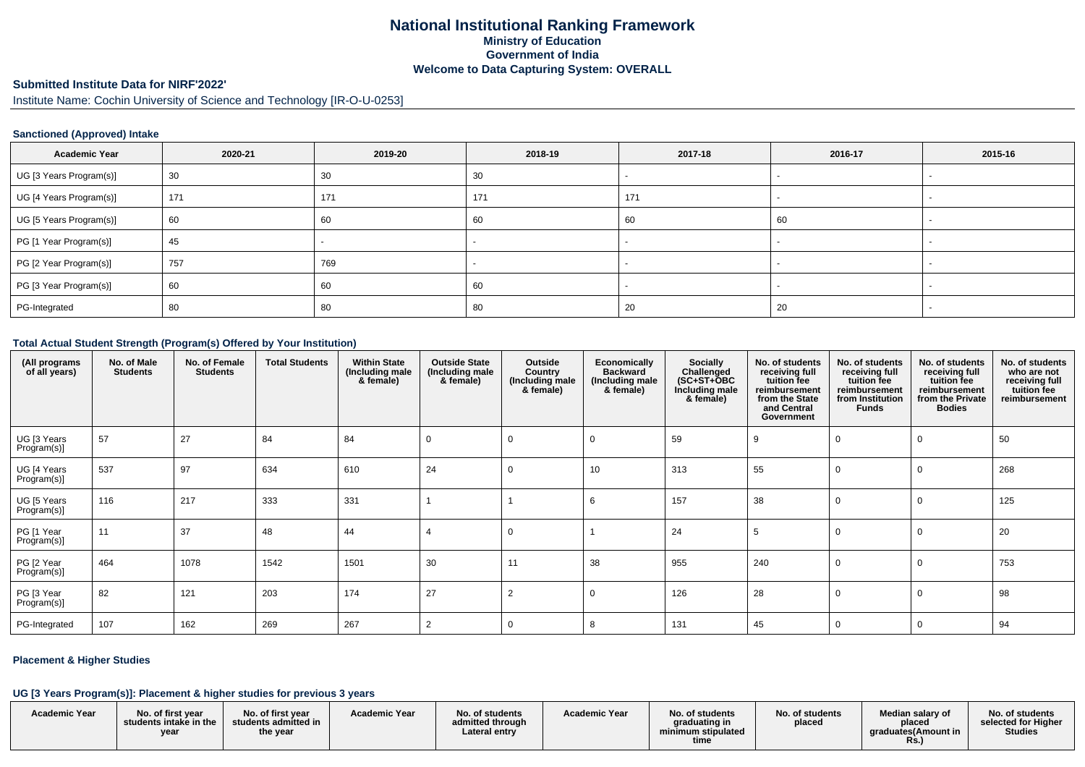## **National Institutional Ranking FrameworkMinistry of Education Government of IndiaWelcome to Data Capturing System: OVERALL**

## **Submitted Institute Data for NIRF'2022'**

Institute Name: Cochin University of Science and Technology [IR-O-U-0253]

### **Sanctioned (Approved) Intake**

| <b>Academic Year</b>    | 2020-21 | 2019-20 | 2018-19 | 2017-18 | 2016-17 | 2015-16 |
|-------------------------|---------|---------|---------|---------|---------|---------|
| UG [3 Years Program(s)] | 30      | 30      | 30      |         |         |         |
| UG [4 Years Program(s)] | 171     | 171     | 171     | 171     |         |         |
| UG [5 Years Program(s)] | 60      | 60      | 60      | 60      | 60      |         |
| PG [1 Year Program(s)]  | 45      |         |         |         |         |         |
| PG [2 Year Program(s)]  | 757     | 769     |         |         |         |         |
| PG [3 Year Program(s)]  | 60      | 60      | 60      |         |         |         |
| PG-Integrated           | 80      | 80      | 80      | 20      | 20      |         |

#### **Total Actual Student Strength (Program(s) Offered by Your Institution)**

| (All programs<br>of all years) | No. of Male<br><b>Students</b> | No. of Female<br><b>Students</b> | <b>Total Students</b> | <b>Within State</b><br>(Including male<br>& female) | <b>Outside State</b><br>(Including male<br>& female) | Outside<br>Country<br>(Including male<br>& female) | Economically<br><b>Backward</b><br>(Including male<br>& female) | <b>Socially</b><br>Challenged<br>$(SC+ST+OBC)$<br>Including male<br>& female) | No. of students<br>receiving full<br>tuition fee<br>reimbursement<br>from the State<br>and Central<br>Government | No. of students<br>receiving full<br>tuition fee<br>reimbursement<br>from Institution<br><b>Funds</b> | No. of students<br>receiving full<br>tuition fee<br>reimbursement<br>from the Private<br><b>Bodies</b> | No. of students<br>who are not<br>receiving full<br>tuition fee<br>reimbursement |
|--------------------------------|--------------------------------|----------------------------------|-----------------------|-----------------------------------------------------|------------------------------------------------------|----------------------------------------------------|-----------------------------------------------------------------|-------------------------------------------------------------------------------|------------------------------------------------------------------------------------------------------------------|-------------------------------------------------------------------------------------------------------|--------------------------------------------------------------------------------------------------------|----------------------------------------------------------------------------------|
| UG [3 Years<br>Program(s)]     | 57                             | 27                               | 84                    | 84                                                  | 0                                                    | 0                                                  | - 0                                                             | 59                                                                            | 9                                                                                                                | 0                                                                                                     |                                                                                                        | 50                                                                               |
| UG [4 Years<br>Program(s)]     | 537                            | 97                               | 634                   | 610                                                 | 24                                                   | 0                                                  | 10                                                              | 313                                                                           | 55                                                                                                               | $\Omega$                                                                                              |                                                                                                        | 268                                                                              |
| UG [5 Years<br>Program(s)]     | 116                            | 217                              | 333                   | 331                                                 |                                                      |                                                    | 6                                                               | 157                                                                           | 38                                                                                                               | $\mathbf 0$                                                                                           |                                                                                                        | 125                                                                              |
| PG [1 Year<br>Program(s)]      | 11                             | 37                               | 48                    | 44                                                  | $\overline{4}$                                       | 0                                                  |                                                                 | 24                                                                            | -5                                                                                                               | $\Omega$                                                                                              |                                                                                                        | 20                                                                               |
| PG [2 Year<br>Program(s)]      | 464                            | 1078                             | 1542                  | 1501                                                | 30                                                   | 11                                                 | 38                                                              | 955                                                                           | 240                                                                                                              | $\Omega$                                                                                              |                                                                                                        | 753                                                                              |
| PG [3 Year<br>Program(s)]      | 82                             | 121                              | 203                   | 174                                                 | 27                                                   | 2                                                  | -0                                                              | 126                                                                           | 28                                                                                                               | $\Omega$                                                                                              |                                                                                                        | 98                                                                               |
| PG-Integrated                  | 107                            | 162                              | 269                   | 267                                                 | $\overline{2}$                                       | 0                                                  | 8                                                               | 131                                                                           | 45                                                                                                               | 0                                                                                                     |                                                                                                        | 94                                                                               |

### **Placement & Higher Studies**

### **UG [3 Years Program(s)]: Placement & higher studies for previous 3 years**

| <b>Academic Year</b> | No. of first vear<br>students intake in the | No. of first vear<br>students admitted in | <b>Academic Year</b> | No. of students<br>admitted through | <b>Academic Year</b> | No. of students<br>graduating in | No. of students<br>placed | Median salary of<br>placed  | No. of students<br>selected for Higher |
|----------------------|---------------------------------------------|-------------------------------------------|----------------------|-------------------------------------|----------------------|----------------------------------|---------------------------|-----------------------------|----------------------------------------|
|                      | vear                                        | the year                                  |                      | Lateral entry                       |                      | minimum stipulated<br>time       |                           | araduates (Amount in<br>Rs. | <b>Studies</b>                         |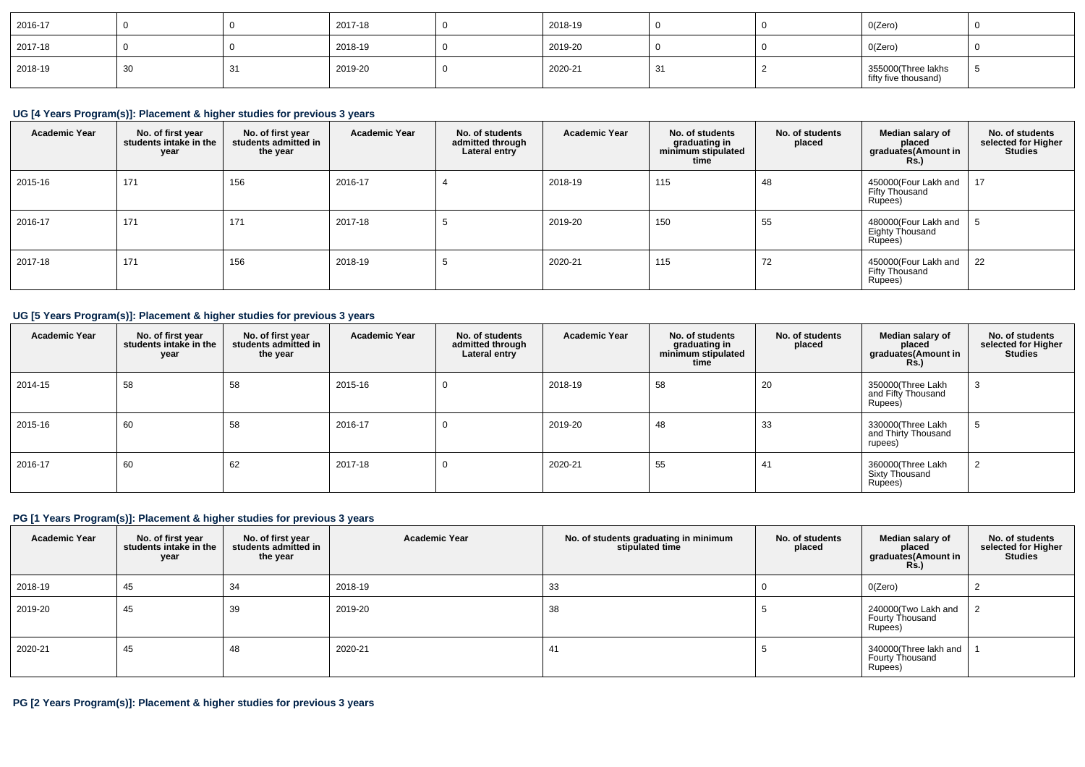| 2016-17 |    | 2017-18 | 2018-19 |  | O(Zero)                                    |  |
|---------|----|---------|---------|--|--------------------------------------------|--|
| 2017-18 |    | 2018-19 | 2019-20 |  | O(Zero)                                    |  |
| 2018-19 | 30 | 2019-20 | 2020-21 |  | 355000(Three lakhs<br>fifty five thousand) |  |

# **UG [4 Years Program(s)]: Placement & higher studies for previous 3 years**

| <b>Academic Year</b> | No. of first year<br>students intake in the<br>year | No. of first year<br>students admitted in<br>the year | <b>Academic Year</b> | No. of students<br>admitted through<br>Lateral entry | <b>Academic Year</b> | No. of students<br>graduating in<br>minimum stipulated<br>time | No. of students<br>placed | Median salary of<br>placed<br>graduates(Amount in<br><b>Rs.</b> ) | No. of students<br>selected for Higher<br><b>Studies</b> |
|----------------------|-----------------------------------------------------|-------------------------------------------------------|----------------------|------------------------------------------------------|----------------------|----------------------------------------------------------------|---------------------------|-------------------------------------------------------------------|----------------------------------------------------------|
| 2015-16              | 171                                                 | 156                                                   | 2016-17              |                                                      | 2018-19              | 115                                                            | -48                       | 450000(Four Lakh and<br>Fifty Thousand<br>Rupees)                 | 17                                                       |
| 2016-17              | 171                                                 | 171                                                   | 2017-18              | J                                                    | 2019-20              | 150                                                            | 55                        | 480000(Four Lakh and<br>Eighty Thousand<br>Rupees)                |                                                          |
| 2017-18              | 171                                                 | 156                                                   | 2018-19              | $\cdot$                                              | 2020-21              | 115                                                            | 72                        | 450000(Four Lakh and<br>Fifty Thousand<br>Rupees)                 | 22                                                       |

## **UG [5 Years Program(s)]: Placement & higher studies for previous 3 years**

| <b>Academic Year</b> | No. of first year<br>students intake in the<br>year | No. of first year<br>students admitted in<br>the year | <b>Academic Year</b> | No. of students<br>admitted through<br>Lateral entry | <b>Academic Year</b> | No. of students<br>graduating in<br>minimum stipulated<br>time | No. of students<br>placed | Median salary of<br>placed<br>graduates(Amount in<br><b>Rs.)</b> | No. of students<br>selected for Higher<br><b>Studies</b> |
|----------------------|-----------------------------------------------------|-------------------------------------------------------|----------------------|------------------------------------------------------|----------------------|----------------------------------------------------------------|---------------------------|------------------------------------------------------------------|----------------------------------------------------------|
| 2014-15              | 58                                                  | 58                                                    | 2015-16              | 0                                                    | 2018-19              | 58                                                             | 20                        | 350000(Three Lakh<br>and Fifty Thousand<br>Rupees)               |                                                          |
| 2015-16              | 60                                                  | 58                                                    | 2016-17              | 0                                                    | 2019-20              | 48                                                             | 33                        | 330000(Three Lakh<br>and Thirty Thousand<br>rupees)              |                                                          |
| 2016-17              | 60                                                  | 62                                                    | 2017-18              | υ                                                    | 2020-21              | 55                                                             | -41                       | 360000(Three Lakh<br><b>Sixty Thousand</b><br>Rupees)            |                                                          |

## **PG [1 Years Program(s)]: Placement & higher studies for previous 3 years**

| <b>Academic Year</b> | No. of first year<br>students intake in the<br>year | No. of first year<br>students admitted in<br>the year | <b>Academic Year</b> | No. of students graduating in minimum<br>stipulated time | No. of students<br>placed | Median salary of<br>placed<br>graduates(Amount in<br>Rs.) | No. of students<br>selected for Higher<br><b>Studies</b> |
|----------------------|-----------------------------------------------------|-------------------------------------------------------|----------------------|----------------------------------------------------------|---------------------------|-----------------------------------------------------------|----------------------------------------------------------|
| 2018-19              | 45                                                  | 34                                                    | 2018-19              | 33                                                       |                           | 0(Zero)                                                   |                                                          |
| 2019-20              | 45                                                  | 39                                                    | 2019-20              | 38                                                       |                           | 240000(Two Lakh and<br>Fourty Thousand<br>Rupees)         |                                                          |
| 2020-21              | 45                                                  | 48                                                    | 2020-21              | 41                                                       |                           | 340000(Three lakh and  <br>Fourty Thousand<br>Rupees)     |                                                          |

## **PG [2 Years Program(s)]: Placement & higher studies for previous 3 years**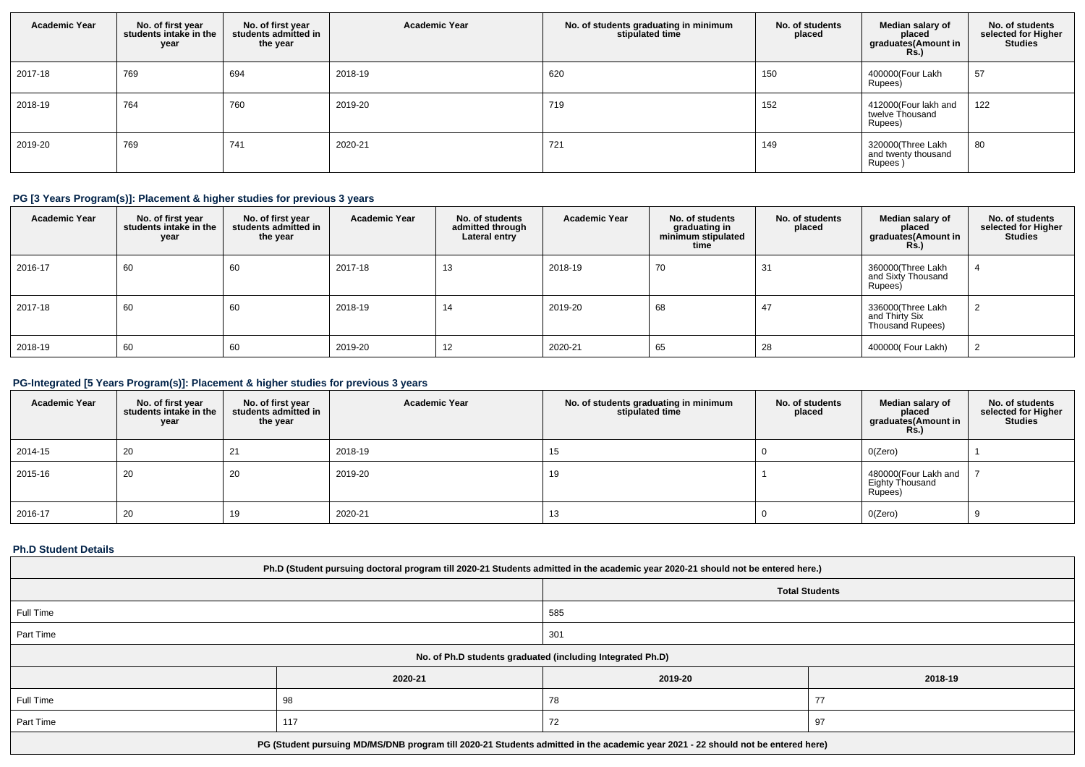| <b>Academic Year</b> | No. of first year<br>students intake in the<br>year | No. of first year<br>students admitted in<br>the year | <b>Academic Year</b> | No. of students graduating in minimum<br>stipulated time | No. of students<br>placed | Median salary of<br>placed<br>graduates(Amount in<br><b>Rs.)</b> | No. of students<br>selected for Higher<br><b>Studies</b> |
|----------------------|-----------------------------------------------------|-------------------------------------------------------|----------------------|----------------------------------------------------------|---------------------------|------------------------------------------------------------------|----------------------------------------------------------|
| 2017-18              | 769                                                 | 694                                                   | 2018-19              | 620                                                      | 150                       | 400000(Four Lakh<br>Rupees)                                      | 57                                                       |
| 2018-19              | 764                                                 | 760                                                   | 2019-20              | 719                                                      | 152                       | 412000(Four lakh and<br>twelve Thousand<br>Rupees)               | 122                                                      |
| 2019-20              | 769                                                 | 741                                                   | 2020-21              | 721                                                      | 149                       | 320000(Three Lakh<br>and twenty thousand<br>Rupees)              | 80                                                       |

## **PG [3 Years Program(s)]: Placement & higher studies for previous 3 years**

| <b>Academic Year</b> | No. of first year<br>students intake in the<br>year | No. of first vear<br>students admitted in<br>the year | <b>Academic Year</b> | No. of students<br>admitted through<br>Lateral entry | <b>Academic Year</b> | No. of students<br>graduating in<br>minimum stipulated<br>time | No. of students<br>placed | Median salary of<br>placed<br>graduates(Amount in<br><b>Rs.)</b> | No. of students<br>selected for Higher<br><b>Studies</b> |
|----------------------|-----------------------------------------------------|-------------------------------------------------------|----------------------|------------------------------------------------------|----------------------|----------------------------------------------------------------|---------------------------|------------------------------------------------------------------|----------------------------------------------------------|
| 2016-17              | 60                                                  | 60                                                    | 2017-18              | 13                                                   | 2018-19              | 70                                                             | 31                        | 360000(Three Lakh<br>and Sixty Thousand<br>Rupees)               |                                                          |
| 2017-18              | 60                                                  | 60                                                    | 2018-19              | 14                                                   | 2019-20              | 68                                                             | 47                        | 336000(Three Lakh<br>and Thirty Six<br>Thousand Rupees)          |                                                          |
| 2018-19              | 60                                                  | 60                                                    | 2019-20              | 12                                                   | 2020-21              | 65                                                             | 28                        | 400000(Four Lakh)                                                |                                                          |

## **PG-Integrated [5 Years Program(s)]: Placement & higher studies for previous 3 years**

| <b>Academic Year</b> | No. of first year<br>students intake in the<br>year | No. of first year<br>students admitted in<br>the year | <b>Academic Year</b> | No. of students graduating in minimum<br>stipulated time | No. of students<br>placed | Median salary of<br>placed<br>graduates(Amount in<br>Rs.) | No. of students<br>selected for Higher<br><b>Studies</b> |
|----------------------|-----------------------------------------------------|-------------------------------------------------------|----------------------|----------------------------------------------------------|---------------------------|-----------------------------------------------------------|----------------------------------------------------------|
| 2014-15              | 20                                                  | 21                                                    | 2018-19              | 15                                                       |                           | O(Zero)                                                   |                                                          |
| 2015-16              | 20                                                  | 20                                                    | 2019-20              | 19                                                       |                           | 480000(Four Lakh and<br>Eighty Thousand<br>Rupees)        |                                                          |
| 2016-17              | 20                                                  |                                                       | 2020-21              | 13                                                       |                           | O(Zero)                                                   |                                                          |

### **Ph.D Student Details**

| Ph.D (Student pursuing doctoral program till 2020-21 Students admitted in the academic year 2020-21 should not be entered here.) |                                                            |                       |         |  |  |  |  |
|----------------------------------------------------------------------------------------------------------------------------------|------------------------------------------------------------|-----------------------|---------|--|--|--|--|
|                                                                                                                                  |                                                            | <b>Total Students</b> |         |  |  |  |  |
| Full Time                                                                                                                        |                                                            | 585                   |         |  |  |  |  |
| Part Time                                                                                                                        | 301                                                        |                       |         |  |  |  |  |
|                                                                                                                                  | No. of Ph.D students graduated (including Integrated Ph.D) |                       |         |  |  |  |  |
|                                                                                                                                  | 2020-21                                                    | 2019-20               | 2018-19 |  |  |  |  |
| Full Time<br>77<br>78<br>98                                                                                                      |                                                            |                       |         |  |  |  |  |
| Part Time<br>117<br>72<br>97                                                                                                     |                                                            |                       |         |  |  |  |  |
| PG (Student pursuing MD/MS/DNB program till 2020-21 Students admitted in the academic year 2021 - 22 should not be entered here) |                                                            |                       |         |  |  |  |  |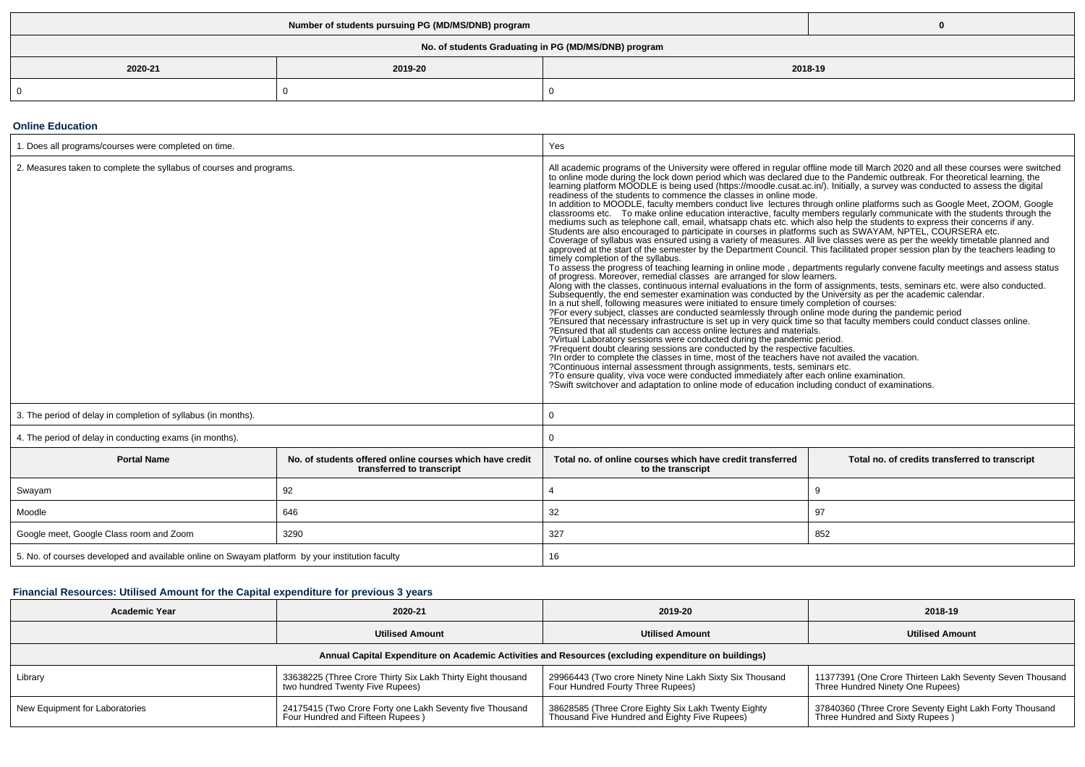|                                                      | Number of students pursuing PG (MD/MS/DNB) program |  |  |  |  |  |  |  |
|------------------------------------------------------|----------------------------------------------------|--|--|--|--|--|--|--|
| No. of students Graduating in PG (MD/MS/DNB) program |                                                    |  |  |  |  |  |  |  |
| 2020-21                                              | 2018-19<br>2019-20                                 |  |  |  |  |  |  |  |
|                                                      |                                                    |  |  |  |  |  |  |  |

#### **Online Education**

| 1. Does all programs/courses were completed on time.                                                        |     | Yes                                                                                                                                                                                                                                                                                                                                                                                                                                                                                                                                                                                                                                                                                                                                                                                                                                                                                                                                                                                                                                                                                                                                                                                                                                                                                                                                                                                                                                                                                                                                                                                                                                                                                                                                                                                                                                                                                                                                                                                                                                                                                                                                                                                                                                                                                                                                                                                                                                                                                                                                                                                                                                |                                                |
|-------------------------------------------------------------------------------------------------------------|-----|------------------------------------------------------------------------------------------------------------------------------------------------------------------------------------------------------------------------------------------------------------------------------------------------------------------------------------------------------------------------------------------------------------------------------------------------------------------------------------------------------------------------------------------------------------------------------------------------------------------------------------------------------------------------------------------------------------------------------------------------------------------------------------------------------------------------------------------------------------------------------------------------------------------------------------------------------------------------------------------------------------------------------------------------------------------------------------------------------------------------------------------------------------------------------------------------------------------------------------------------------------------------------------------------------------------------------------------------------------------------------------------------------------------------------------------------------------------------------------------------------------------------------------------------------------------------------------------------------------------------------------------------------------------------------------------------------------------------------------------------------------------------------------------------------------------------------------------------------------------------------------------------------------------------------------------------------------------------------------------------------------------------------------------------------------------------------------------------------------------------------------------------------------------------------------------------------------------------------------------------------------------------------------------------------------------------------------------------------------------------------------------------------------------------------------------------------------------------------------------------------------------------------------------------------------------------------------------------------------------------------------|------------------------------------------------|
| 2. Measures taken to complete the syllabus of courses and programs.                                         |     | All academic programs of the University were offered in regular offline mode till March 2020 and all these courses were switched<br>to online mode during the lock down period which was declared due to the Pandemic outbreak. F<br>learning platform MOODLE is being used (https://moodle.cusat.ac.in/). Initially, a survey was conducted to assess the digital<br>readiness of the students to commence the classes in online mode.<br>In addition to MOODLE, faculty members conduct live lectures through online platforms such as Google Meet, ZOOM, Google<br>classrooms etc. To make online education interactive, faculty members regularly communicate with the students through the mediums such as telephone call, email, whatsapp chats etc. which also help the students to express t<br>Students are also encouraged to participate in courses in platforms such as SWAYAM, NPTEL, COURSERA etc.<br>Coverage of syllabus was ensured using a variety of measures. All live classes were as per the weekly timetable planned and<br>approved at the start of the semester by the Department Council. This facilitated proper session plan by the teachers leading to<br>timely completion of the syllabus.<br>To assess the progress of teaching learning in online mode, departments regularly convene faculty meetings and assess status<br>of progress. Moreover, remedial classes are arranged for slow learners.<br>Along with the classes, continuous internal evaluations in the form of assignments, tests, seminars etc. were also conducted.<br>Subsequently, the end semester examination was conducted by the University as per the academic calendar.<br>In a nut shell, following measures were initiated to ensure timely completion of courses:<br>?For every subject, classes are conducted seamlessly through online mode during the pandemic period<br>?Ensured that necessary infrastructure is set up in very quick time so that faculty members could conduct classes online.<br>?Ensured that all students can access online lectures and materials.<br>?Virtual Laboratory sessions were conducted during the pandemic period.<br>?Frequent doubt clearing sessions are conducted by the respective faculties.<br>?In order to complete the classes in time, most of the teachers have not availed the vacation.<br>?Continuous internal assessment through assignments, tests, seminars etc.<br>?To ensure quality, viva voce were conducted immediately after each online examination.<br>?Swift switchover and adaptation to online mode of education including conduct of examinations. |                                                |
| 3. The period of delay in completion of syllabus (in months).                                               |     | $\Omega$                                                                                                                                                                                                                                                                                                                                                                                                                                                                                                                                                                                                                                                                                                                                                                                                                                                                                                                                                                                                                                                                                                                                                                                                                                                                                                                                                                                                                                                                                                                                                                                                                                                                                                                                                                                                                                                                                                                                                                                                                                                                                                                                                                                                                                                                                                                                                                                                                                                                                                                                                                                                                           |                                                |
| 4. The period of delay in conducting exams (in months).                                                     |     | $\Omega$                                                                                                                                                                                                                                                                                                                                                                                                                                                                                                                                                                                                                                                                                                                                                                                                                                                                                                                                                                                                                                                                                                                                                                                                                                                                                                                                                                                                                                                                                                                                                                                                                                                                                                                                                                                                                                                                                                                                                                                                                                                                                                                                                                                                                                                                                                                                                                                                                                                                                                                                                                                                                           |                                                |
| <b>Portal Name</b><br>No. of students offered online courses which have credit<br>transferred to transcript |     | Total no, of online courses which have credit transferred<br>to the transcript                                                                                                                                                                                                                                                                                                                                                                                                                                                                                                                                                                                                                                                                                                                                                                                                                                                                                                                                                                                                                                                                                                                                                                                                                                                                                                                                                                                                                                                                                                                                                                                                                                                                                                                                                                                                                                                                                                                                                                                                                                                                                                                                                                                                                                                                                                                                                                                                                                                                                                                                                     | Total no. of credits transferred to transcript |
| Swayam                                                                                                      | 92  |                                                                                                                                                                                                                                                                                                                                                                                                                                                                                                                                                                                                                                                                                                                                                                                                                                                                                                                                                                                                                                                                                                                                                                                                                                                                                                                                                                                                                                                                                                                                                                                                                                                                                                                                                                                                                                                                                                                                                                                                                                                                                                                                                                                                                                                                                                                                                                                                                                                                                                                                                                                                                                    | 9                                              |
| Moodle                                                                                                      | 646 | 32                                                                                                                                                                                                                                                                                                                                                                                                                                                                                                                                                                                                                                                                                                                                                                                                                                                                                                                                                                                                                                                                                                                                                                                                                                                                                                                                                                                                                                                                                                                                                                                                                                                                                                                                                                                                                                                                                                                                                                                                                                                                                                                                                                                                                                                                                                                                                                                                                                                                                                                                                                                                                                 | 97                                             |
| Google meet, Google Class room and Zoom<br>3290                                                             |     | 327                                                                                                                                                                                                                                                                                                                                                                                                                                                                                                                                                                                                                                                                                                                                                                                                                                                                                                                                                                                                                                                                                                                                                                                                                                                                                                                                                                                                                                                                                                                                                                                                                                                                                                                                                                                                                                                                                                                                                                                                                                                                                                                                                                                                                                                                                                                                                                                                                                                                                                                                                                                                                                | 852                                            |
| 5. No. of courses developed and available online on Swayam platform by your institution faculty             |     | 16                                                                                                                                                                                                                                                                                                                                                                                                                                                                                                                                                                                                                                                                                                                                                                                                                                                                                                                                                                                                                                                                                                                                                                                                                                                                                                                                                                                                                                                                                                                                                                                                                                                                                                                                                                                                                                                                                                                                                                                                                                                                                                                                                                                                                                                                                                                                                                                                                                                                                                                                                                                                                                 |                                                |

### **Financial Resources: Utilised Amount for the Capital expenditure for previous 3 years**

| <b>Academic Year</b>                                                                                 | 2020-21                                                                                                                                                                                                                                                                                        | 2019-20                                                                                              | 2018-19                                                                                    |  |
|------------------------------------------------------------------------------------------------------|------------------------------------------------------------------------------------------------------------------------------------------------------------------------------------------------------------------------------------------------------------------------------------------------|------------------------------------------------------------------------------------------------------|--------------------------------------------------------------------------------------------|--|
|                                                                                                      | <b>Utilised Amount</b>                                                                                                                                                                                                                                                                         | <b>Utilised Amount</b>                                                                               | <b>Utilised Amount</b>                                                                     |  |
| Annual Capital Expenditure on Academic Activities and Resources (excluding expenditure on buildings) |                                                                                                                                                                                                                                                                                                |                                                                                                      |                                                                                            |  |
| Library                                                                                              | 11377391 (One Crore Thirteen Lakh Seventy Seven Thousand<br>33638225 (Three Crore Thirty Six Lakh Thirty Eight thousand<br>29966443 (Two crore Ninety Nine Lakh Sixty Six Thousand<br>Four Hundred Fourty Three Rupees)<br>Three Hundred Ninety One Rupees)<br>two hundred Twenty Five Rupees) |                                                                                                      |                                                                                            |  |
| New Equipment for Laboratories                                                                       | 24175415 (Two Crore Forty one Lakh Seventy five Thousand<br>Four Hundred and Fifteen Rupees)                                                                                                                                                                                                   | 38628585 (Three Crore Eighty Six Lakh Twenty Eighty<br>Thousand Five Hundred and Eighty Five Rupees) | 37840360 (Three Crore Seventy Eight Lakh Forty Thousand<br>Three Hundred and Sixty Rupees) |  |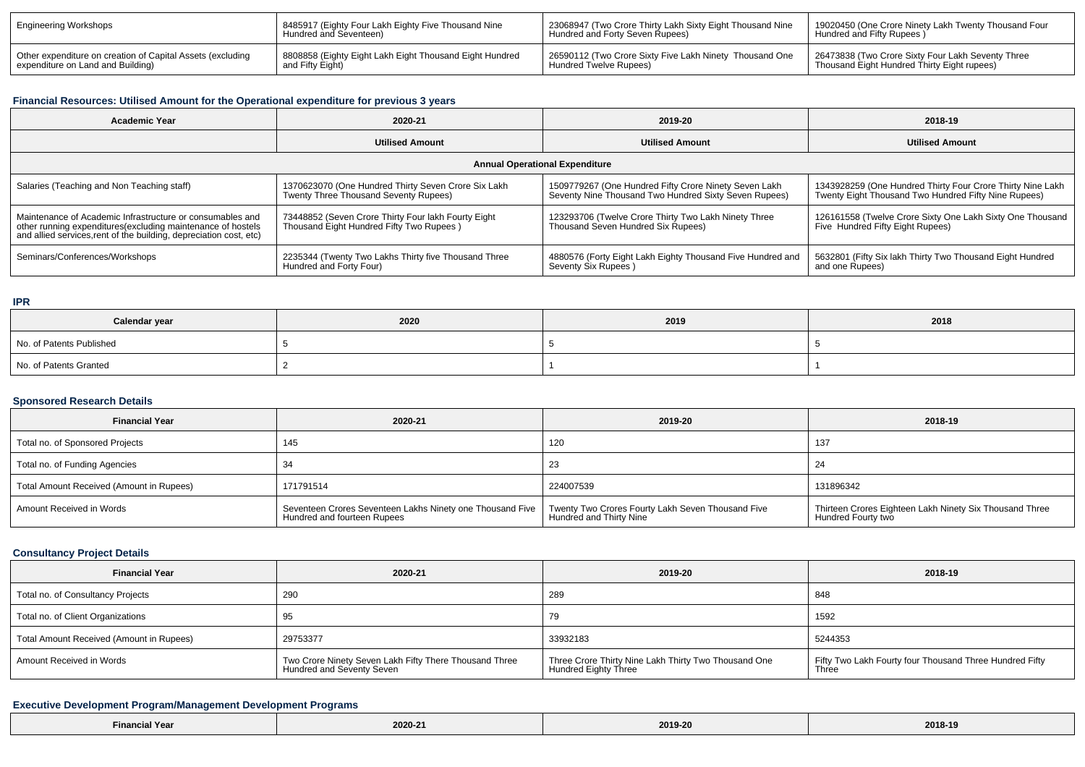| Engineering Workshops                                      | 8485917 (Eighty Four Lakh Eighty Five Thousand Nine<br>Hundred and Seventeen) | 23068947 (Two Crore Thirty Lakh Sixty Eight Thousand Nine<br>Hundred and Forty Seven Rupees) | 19020450 (One Crore Ninety Lakh Twenty Thousand Four<br>Hundred and Fifty Rupees) |
|------------------------------------------------------------|-------------------------------------------------------------------------------|----------------------------------------------------------------------------------------------|-----------------------------------------------------------------------------------|
| Other expenditure on creation of Capital Assets (excluding | 8808858 (Eighty Eight Lakh Eight Thousand Eight Hundred<br>and Fifty Eight)   | 26590112 (Two Crore Sixty Five Lakh Ninety Thousand One                                      | 26473838 (Two Crore Sixty Four Lakh Seventy Three                                 |
| expenditure on Land and Building)                          |                                                                               | Hundred Twelve Rupees)                                                                       | Thousand Eight Hundred Thirty Eight rupees)                                       |

## **Financial Resources: Utilised Amount for the Operational expenditure for previous 3 years**

| <b>Academic Year</b>                                                                                                                                                                           | 2020-21                                                                                         | 2019-20                                                                                                        | 2018-19                                                                                                            |  |
|------------------------------------------------------------------------------------------------------------------------------------------------------------------------------------------------|-------------------------------------------------------------------------------------------------|----------------------------------------------------------------------------------------------------------------|--------------------------------------------------------------------------------------------------------------------|--|
|                                                                                                                                                                                                | <b>Utilised Amount</b>                                                                          | <b>Utilised Amount</b>                                                                                         | <b>Utilised Amount</b>                                                                                             |  |
| <b>Annual Operational Expenditure</b>                                                                                                                                                          |                                                                                                 |                                                                                                                |                                                                                                                    |  |
| Salaries (Teaching and Non Teaching staff)                                                                                                                                                     | 1370623070 (One Hundred Thirty Seven Crore Six Lakh<br>Twenty Three Thousand Seventy Rupees)    | 1509779267 (One Hundred Fifty Crore Ninety Seven Lakh<br>Seventy Nine Thousand Two Hundred Sixty Seven Rupees) | 1343928259 (One Hundred Thirty Four Crore Thirty Nine Lakh<br>Twenty Eight Thousand Two Hundred Fifty Nine Rupees) |  |
| Maintenance of Academic Infrastructure or consumables and<br>other running expenditures(excluding maintenance of hostels<br>and allied services, rent of the building, depreciation cost, etc) | 73448852 (Seven Crore Thirty Four lakh Fourty Eight<br>Thousand Eight Hundred Fifty Two Rupees) | 123293706 (Twelve Crore Thirty Two Lakh Ninety Three<br>Thousand Seven Hundred Six Rupees)                     | 126161558 (Twelve Crore Sixty One Lakh Sixty One Thousand<br>Five Hundred Fifty Eight Rupees)                      |  |
| Seminars/Conferences/Workshops                                                                                                                                                                 | 2235344 (Twenty Two Lakhs Thirty five Thousand Three<br>Hundred and Forty Four)                 | 4880576 (Forty Eight Lakh Eighty Thousand Five Hundred and<br>Seventy Six Rupees)                              | 5632801 (Fifty Six lakh Thirty Two Thousand Eight Hundred<br>and one Rupees)                                       |  |

### **IPR**

| Calendar year            | 2020 | 2019 | 2018 |
|--------------------------|------|------|------|
| No. of Patents Published |      |      |      |
| No. of Patents Granted   |      |      |      |

### **Sponsored Research Details**

| <b>Financial Year</b>                    | 2020-21                                                                                  | 2019-20                                                                      | 2018-19                                                                       |
|------------------------------------------|------------------------------------------------------------------------------------------|------------------------------------------------------------------------------|-------------------------------------------------------------------------------|
| Total no. of Sponsored Projects          | 145                                                                                      | 120                                                                          | 137                                                                           |
| Total no. of Funding Agencies            |                                                                                          | 23                                                                           | 24                                                                            |
| Total Amount Received (Amount in Rupees) | 171791514                                                                                | 224007539                                                                    | 131896342                                                                     |
| Amount Received in Words                 | Seventeen Crores Seventeen Lakhs Ninety one Thousand Five<br>Hundred and fourteen Rupees | Twenty Two Crores Fourty Lakh Seven Thousand Five<br>Hundred and Thirty Nine | Thirteen Crores Eighteen Lakh Ninety Six Thousand Three<br>Hundred Fourty two |

### **Consultancy Project Details**

| <b>Financial Year</b>                    | 2020-21                                                                             | 2019-20                                                                      | 2018-19                                                          |
|------------------------------------------|-------------------------------------------------------------------------------------|------------------------------------------------------------------------------|------------------------------------------------------------------|
| Total no. of Consultancy Projects        | 290                                                                                 | 289                                                                          | 848                                                              |
| Total no. of Client Organizations        | 95                                                                                  | 79                                                                           | 1592                                                             |
| Total Amount Received (Amount in Rupees) | 29753377                                                                            | 33932183                                                                     | 5244353                                                          |
| Amount Received in Words                 | Two Crore Ninety Seven Lakh Fifty There Thousand Three<br>Hundred and Seventy Seven | Three Crore Thirty Nine Lakh Thirty Two Thousand One<br>Hundred Eighty Three | Fifty Two Lakh Fourty four Thousand Three Hundred Fifty<br>Three |

## **Executive Development Program/Management Development Programs**

| --<br>Fina<br>'Yea<br>$\sim$ $\sim$ $\sim$ $\sim$ $\sim$ $\sim$ |  | 2019-20<br>. | 2018-1<br>$- - - -$ |
|-----------------------------------------------------------------|--|--------------|---------------------|
|-----------------------------------------------------------------|--|--------------|---------------------|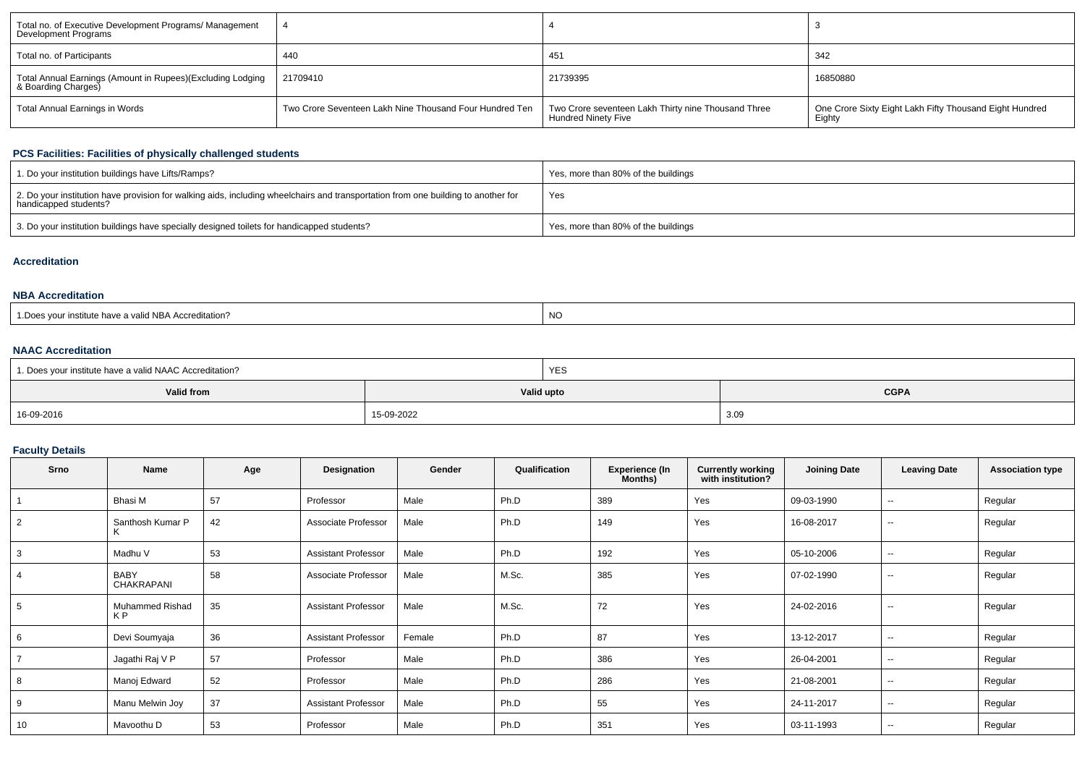| Total no. of Executive Development Programs/ Management<br>Development Programs   |                                                         |                                                                            |                                                                   |
|-----------------------------------------------------------------------------------|---------------------------------------------------------|----------------------------------------------------------------------------|-------------------------------------------------------------------|
| Total no. of Participants                                                         | 440                                                     | 451                                                                        | 342                                                               |
| Total Annual Earnings (Amount in Rupees)(Excluding Lodging<br>& Boarding Charges) | 21709410                                                | 21739395                                                                   | 16850880                                                          |
| Total Annual Earnings in Words                                                    | Two Crore Seventeen Lakh Nine Thousand Four Hundred Ten | Two Crore seventeen Lakh Thirty nine Thousand Three<br>Hundred Ninety Five | One Crore Sixty Eight Lakh Fifty Thousand Eight Hundred<br>Eighty |

## **PCS Facilities: Facilities of physically challenged students**

| 1. Do your institution buildings have Lifts/Ramps?                                                                                                         | Yes, more than 80% of the buildings |
|------------------------------------------------------------------------------------------------------------------------------------------------------------|-------------------------------------|
| 2. Do your institution have provision for walking aids, including wheelchairs and transportation from one building to another for<br>handicapped students? | Yes                                 |
| 3. Do your institution buildings have specially designed toilets for handicapped students?                                                                 | Yes, more than 80% of the buildings |

#### **Accreditation**

### **NBA Accreditation**

| valid NBA<br>Accreditation<br>u nave n | <b>NC</b> |
|----------------------------------------|-----------|
|----------------------------------------|-----------|

### **NAAC Accreditation**

| 1. Does your institute have a valid NAAC Accreditation? |            | YES |             |
|---------------------------------------------------------|------------|-----|-------------|
| Valid from                                              | Valid upto |     | <b>CGPA</b> |
| 16-09-2016                                              | 15-09-2022 |     | 3.09        |

## **Faculty Details**

| <b>Srno</b> | <b>Name</b>               | Age | Designation                | Gender | Qualification | <b>Experience (In</b><br>Months) | <b>Currently working</b><br>with institution? | <b>Joining Date</b> | <b>Leaving Date</b>      | <b>Association type</b> |
|-------------|---------------------------|-----|----------------------------|--------|---------------|----------------------------------|-----------------------------------------------|---------------------|--------------------------|-------------------------|
|             | Bhasi M                   | 57  | Professor                  | Male   | Ph.D          | 389                              | Yes                                           | 09-03-1990          | $\overline{\phantom{a}}$ | Regular                 |
| 2           | Santhosh Kumar P<br>K     | 42  | Associate Professor        | Male   | Ph.D          | 149                              | Yes                                           | 16-08-2017          | $\overline{\phantom{a}}$ | Regular                 |
| 3           | Madhu V                   | 53  | <b>Assistant Professor</b> | Male   | Ph.D          | 192                              | Yes                                           | 05-10-2006          | $\sim$                   | Regular                 |
| 4           | <b>BABY</b><br>CHAKRAPANI | 58  | Associate Professor        | Male   | M.Sc.         | 385                              | Yes                                           | 07-02-1990          | $\sim$                   | Regular                 |
| 5           | Muhammed Rishad<br>K P    | 35  | <b>Assistant Professor</b> | Male   | M.Sc.         | 72                               | Yes                                           | 24-02-2016          | $\overline{\phantom{a}}$ | Regular                 |
|             | Devi Soumyaja             | 36  | <b>Assistant Professor</b> | Female | Ph.D          | 87                               | Yes                                           | 13-12-2017          | $\sim$                   | Regular                 |
|             | Jagathi Raj V P           | 57  | Professor                  | Male   | Ph.D          | 386                              | Yes                                           | 26-04-2001          | $\sim$                   | Regular                 |
| 8           | Manoj Edward              | 52  | Professor                  | Male   | Ph.D          | 286                              | Yes                                           | 21-08-2001          | $\sim$                   | Regular                 |
| 9           | Manu Melwin Joy           | 37  | <b>Assistant Professor</b> | Male   | Ph.D          | 55                               | Yes                                           | 24-11-2017          | $\sim$                   | Regular                 |
| 10          | Mavoothu D                | 53  | Professor                  | Male   | Ph.D          | 351                              | Yes                                           | 03-11-1993          | $\overline{\phantom{a}}$ | Regular                 |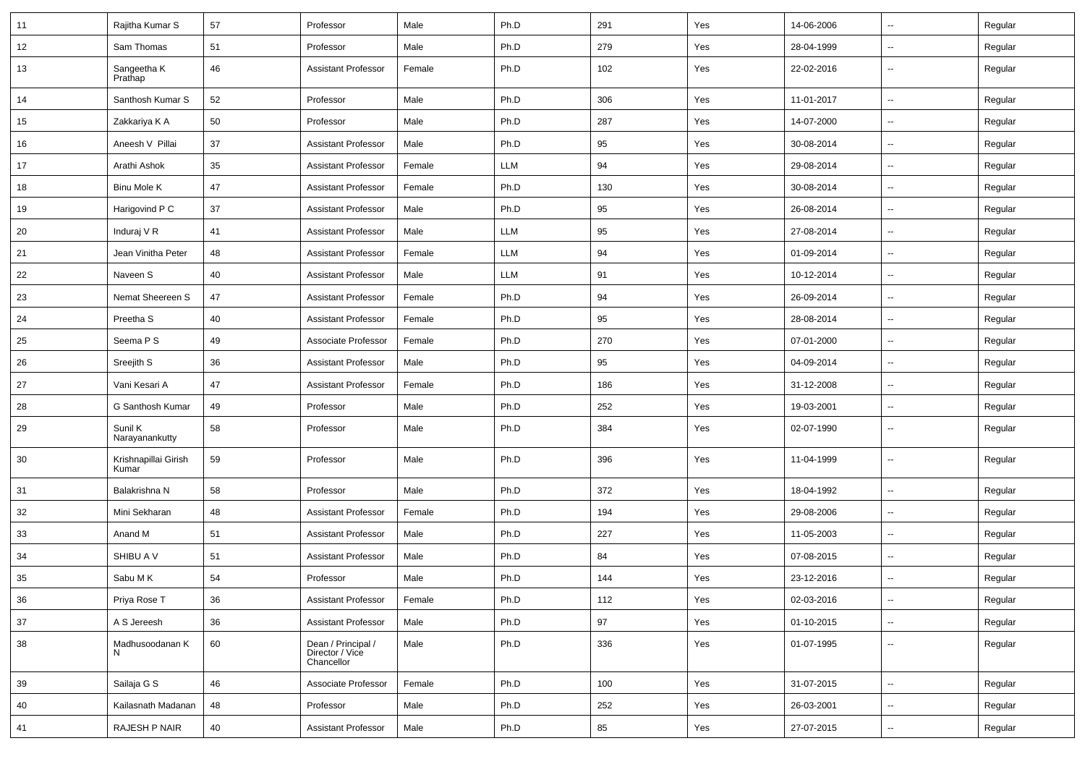| 11 | Rajitha Kumar S               | 57 | Professor                                           | Male   | Ph.D       | 291 | Yes | 14-06-2006 | ⊷.                       | Regular |
|----|-------------------------------|----|-----------------------------------------------------|--------|------------|-----|-----|------------|--------------------------|---------|
| 12 | Sam Thomas                    | 51 | Professor                                           | Male   | Ph.D       | 279 | Yes | 28-04-1999 | --                       | Regular |
| 13 | Sangeetha K<br>Prathap        | 46 | <b>Assistant Professor</b>                          | Female | Ph.D       | 102 | Yes | 22-02-2016 | $\overline{\phantom{a}}$ | Regular |
| 14 | Santhosh Kumar S              | 52 | Professor                                           | Male   | Ph.D       | 306 | Yes | 11-01-2017 | ⊷.                       | Regular |
| 15 | Zakkariya K A                 | 50 | Professor                                           | Male   | Ph.D       | 287 | Yes | 14-07-2000 | $\overline{\phantom{a}}$ | Regular |
| 16 | Aneesh V Pillai               | 37 | <b>Assistant Professor</b>                          | Male   | Ph.D       | 95  | Yes | 30-08-2014 | --                       | Regular |
| 17 | Arathi Ashok                  | 35 | <b>Assistant Professor</b>                          | Female | <b>LLM</b> | 94  | Yes | 29-08-2014 | $\overline{\phantom{a}}$ | Regular |
| 18 | <b>Binu Mole K</b>            | 47 | <b>Assistant Professor</b>                          | Female | Ph.D       | 130 | Yes | 30-08-2014 | $\overline{\phantom{a}}$ | Regular |
| 19 | Harigovind P C                | 37 | <b>Assistant Professor</b>                          | Male   | Ph.D       | 95  | Yes | 26-08-2014 | --                       | Regular |
| 20 | Induraj V R                   | 41 | <b>Assistant Professor</b>                          | Male   | <b>LLM</b> | 95  | Yes | 27-08-2014 | ⊷.                       | Regular |
| 21 | Jean Vinitha Peter            | 48 | <b>Assistant Professor</b>                          | Female | <b>LLM</b> | 94  | Yes | 01-09-2014 | --                       | Regular |
| 22 | Naveen S                      | 40 | <b>Assistant Professor</b>                          | Male   | <b>LLM</b> | 91  | Yes | 10-12-2014 | --                       | Regular |
| 23 | Nemat Sheereen S              | 47 | <b>Assistant Professor</b>                          | Female | Ph.D       | 94  | Yes | 26-09-2014 | $\overline{\phantom{a}}$ | Regular |
| 24 | Preetha <sub>S</sub>          | 40 | <b>Assistant Professor</b>                          | Female | Ph.D       | 95  | Yes | 28-08-2014 | $\overline{\phantom{a}}$ | Regular |
| 25 | Seema P S                     | 49 | Associate Professor                                 | Female | Ph.D       | 270 | Yes | 07-01-2000 | -−                       | Regular |
| 26 | Sreejith S                    | 36 | <b>Assistant Professor</b>                          | Male   | Ph.D       | 95  | Yes | 04-09-2014 | ⊷.                       | Regular |
| 27 | Vani Kesari A                 | 47 | <b>Assistant Professor</b>                          | Female | Ph.D       | 186 | Yes | 31-12-2008 | --                       | Regular |
| 28 | G Santhosh Kumar              | 49 | Professor                                           | Male   | Ph.D       | 252 | Yes | 19-03-2001 | -−                       | Regular |
| 29 | Sunil K<br>Narayanankutty     | 58 | Professor                                           | Male   | Ph.D       | 384 | Yes | 02-07-1990 | ⊷.                       | Regular |
| 30 | Krishnapillai Girish<br>Kumar | 59 | Professor                                           | Male   | Ph.D       | 396 | Yes | 11-04-1999 | $\mathbf{u}$             | Regular |
| 31 | Balakrishna N                 | 58 | Professor                                           | Male   | Ph.D       | 372 | Yes | 18-04-1992 | Ξ.                       | Regular |
| 32 | Mini Sekharan                 | 48 | <b>Assistant Professor</b>                          | Female | Ph.D       | 194 | Yes | 29-08-2006 | $\overline{\phantom{a}}$ | Regular |
| 33 | Anand M                       | 51 | <b>Assistant Professor</b>                          | Male   | Ph.D       | 227 | Yes | 11-05-2003 | -−                       | Regular |
| 34 | SHIBU A V                     | 51 | <b>Assistant Professor</b>                          | Male   | Ph.D       | 84  | Yes | 07-08-2015 | $\overline{\phantom{a}}$ | Regular |
| 35 | Sabu M K                      | 54 | Professor                                           | Male   | Ph.D       | 144 | Yes | 23-12-2016 |                          | Regular |
| 36 | Priya Rose T                  | 36 | <b>Assistant Professor</b>                          | Female | Ph.D       | 112 | Yes | 02-03-2016 | Щ,                       | Regular |
| 37 | A S Jereesh                   | 36 | <b>Assistant Professor</b>                          | Male   | Ph.D       | 97  | Yes | 01-10-2015 | Щ,                       | Regular |
| 38 | Madhusoodanan K<br>N          | 60 | Dean / Principal /<br>Director / Vice<br>Chancellor | Male   | Ph.D       | 336 | Yes | 01-07-1995 | Щ,                       | Regular |
| 39 | Sailaja G S                   | 46 | Associate Professor                                 | Female | Ph.D       | 100 | Yes | 31-07-2015 | $\overline{\phantom{a}}$ | Regular |
| 40 | Kailasnath Madanan            | 48 | Professor                                           | Male   | Ph.D       | 252 | Yes | 26-03-2001 | $\overline{\phantom{a}}$ | Regular |
| 41 | RAJESH P NAIR                 | 40 | Assistant Professor                                 | Male   | Ph.D       | 85  | Yes | 27-07-2015 | н,                       | Regular |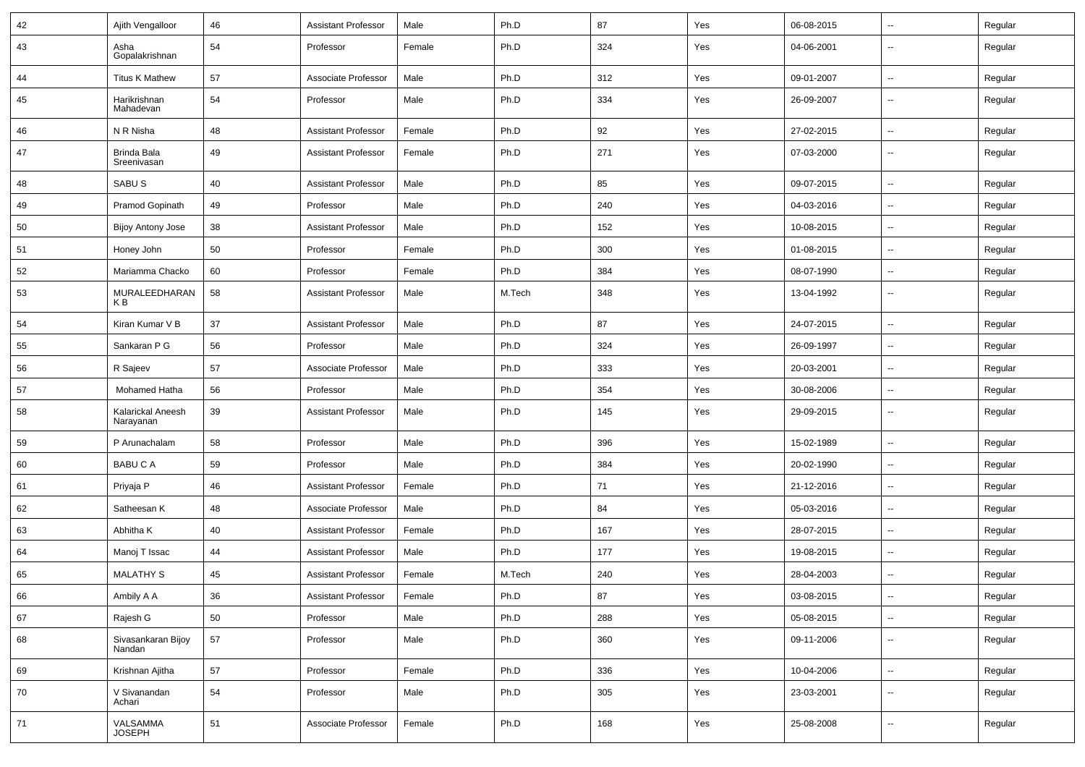| 42 | Ajith Vengalloor               | 46 | <b>Assistant Professor</b> | Male   | Ph.D   | 87  | Yes | 06-08-2015 | $\sim$                   | Regular |
|----|--------------------------------|----|----------------------------|--------|--------|-----|-----|------------|--------------------------|---------|
| 43 | Asha<br>Gopalakrishnan         | 54 | Professor                  | Female | Ph.D   | 324 | Yes | 04-06-2001 | --                       | Regular |
| 44 | <b>Titus K Mathew</b>          | 57 | Associate Professor        | Male   | Ph.D   | 312 | Yes | 09-01-2007 | $\sim$                   | Regular |
| 45 | Harikrishnan<br>Mahadevan      | 54 | Professor                  | Male   | Ph.D   | 334 | Yes | 26-09-2007 | ⊷.                       | Regular |
| 46 | N R Nisha                      | 48 | <b>Assistant Professor</b> | Female | Ph.D   | 92  | Yes | 27-02-2015 | ⊷.                       | Regular |
| 47 | Brinda Bala<br>Sreenivasan     | 49 | <b>Assistant Professor</b> | Female | Ph.D   | 271 | Yes | 07-03-2000 | --                       | Regular |
| 48 | SABU <sub>S</sub>              | 40 | <b>Assistant Professor</b> | Male   | Ph.D   | 85  | Yes | 09-07-2015 | ⊷.                       | Regular |
| 49 | Pramod Gopinath                | 49 | Professor                  | Male   | Ph.D   | 240 | Yes | 04-03-2016 | -−                       | Regular |
| 50 | <b>Bijoy Antony Jose</b>       | 38 | <b>Assistant Professor</b> | Male   | Ph.D   | 152 | Yes | 10-08-2015 | $\overline{\phantom{a}}$ | Regular |
| 51 | Honey John                     | 50 | Professor                  | Female | Ph.D   | 300 | Yes | 01-08-2015 | $\sim$                   | Regular |
| 52 | Mariamma Chacko                | 60 | Professor                  | Female | Ph.D   | 384 | Yes | 08-07-1990 | $\sim$                   | Regular |
| 53 | MURALEEDHARAN<br>K B           | 58 | <b>Assistant Professor</b> | Male   | M.Tech | 348 | Yes | 13-04-1992 | ⊷.                       | Regular |
| 54 | Kiran Kumar V B                | 37 | <b>Assistant Professor</b> | Male   | Ph.D   | 87  | Yes | 24-07-2015 | ⊷.                       | Regular |
| 55 | Sankaran P G                   | 56 | Professor                  | Male   | Ph.D   | 324 | Yes | 26-09-1997 | --                       | Regular |
| 56 | R Sajeev                       | 57 | Associate Professor        | Male   | Ph.D   | 333 | Yes | 20-03-2001 | -−                       | Regular |
| 57 | Mohamed Hatha                  | 56 | Professor                  | Male   | Ph.D   | 354 | Yes | 30-08-2006 | Ξ.                       | Regular |
| 58 | Kalarickal Aneesh<br>Narayanan | 39 | <b>Assistant Professor</b> | Male   | Ph.D   | 145 | Yes | 29-09-2015 | $\sim$                   | Regular |
| 59 | P Arunachalam                  | 58 | Professor                  | Male   | Ph.D   | 396 | Yes | 15-02-1989 | $\overline{\phantom{a}}$ | Regular |
| 60 | <b>BABUCA</b>                  | 59 | Professor                  | Male   | Ph.D   | 384 | Yes | 20-02-1990 | $\sim$                   | Regular |
| 61 | Priyaja P                      | 46 | <b>Assistant Professor</b> | Female | Ph.D   | 71  | Yes | 21-12-2016 | $\overline{\phantom{a}}$ | Regular |
| 62 | Satheesan K                    | 48 | Associate Professor        | Male   | Ph.D   | 84  | Yes | 05-03-2016 | $\overline{\phantom{a}}$ | Regular |
| 63 | Abhitha K                      | 40 | <b>Assistant Professor</b> | Female | Ph.D   | 167 | Yes | 28-07-2015 | -−                       | Regular |
| 64 | Manoj T Issac                  | 44 | <b>Assistant Professor</b> | Male   | Ph.D   | 177 | Yes | 19-08-2015 | $\sim$                   | Regular |
| 65 | <b>MALATHY S</b>               | 45 | <b>Assistant Professor</b> | Female | M.Tech | 240 | Yes | 28-04-2003 | $\overline{\phantom{a}}$ | Regular |
| 66 | Ambily A A                     | 36 | <b>Assistant Professor</b> | Female | Ph.D   | 87  | Yes | 03-08-2015 | ⊷                        | Regular |
| 67 | Rajesh G                       | 50 | Professor                  | Male   | Ph.D   | 288 | Yes | 05-08-2015 | ш.                       | Regular |
| 68 | Sivasankaran Bijoy<br>Nandan   | 57 | Professor                  | Male   | Ph.D   | 360 | Yes | 09-11-2006 | $\sim$                   | Regular |
| 69 | Krishnan Ajitha                | 57 | Professor                  | Female | Ph.D   | 336 | Yes | 10-04-2006 | $\overline{\phantom{a}}$ | Regular |
| 70 | V Sivanandan<br>Achari         | 54 | Professor                  | Male   | Ph.D   | 305 | Yes | 23-03-2001 | --                       | Regular |
| 71 | VALSAMMA<br>JOSEPH             | 51 | Associate Professor        | Female | Ph.D   | 168 | Yes | 25-08-2008 | ⊶.                       | Regular |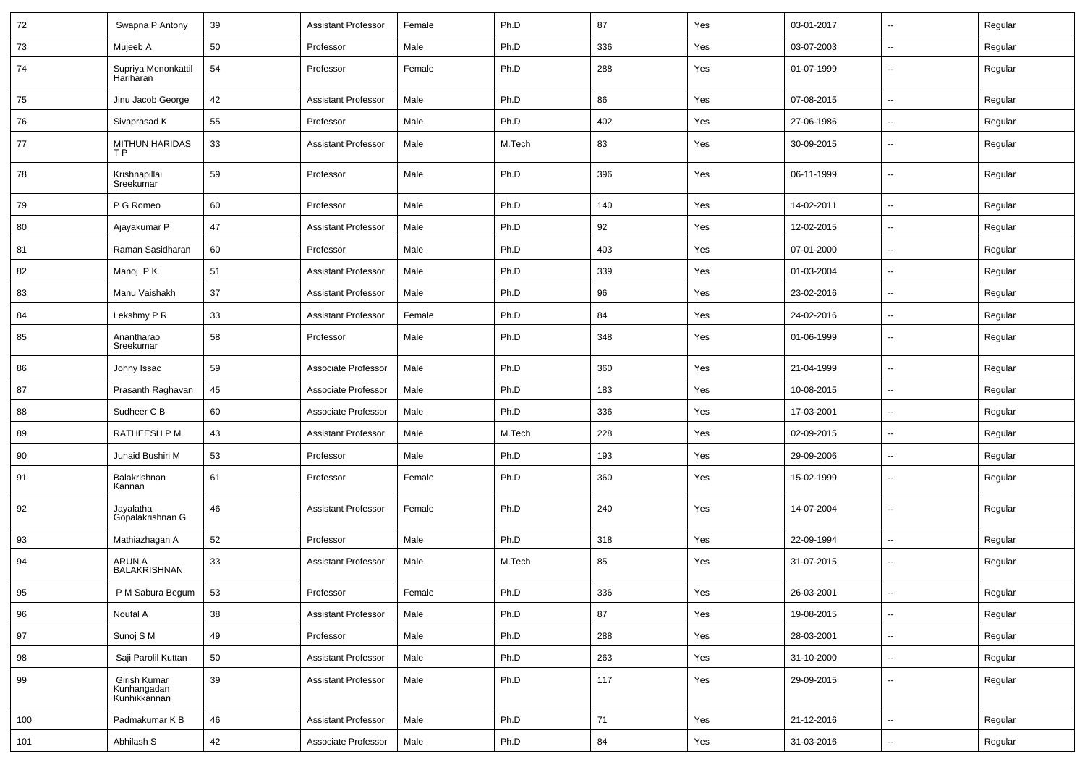| 72  | Swapna P Antony                             | 39 | <b>Assistant Professor</b> | Female | Ph.D   | 87  | Yes | 03-01-2017 | ⊶.                       | Regular |
|-----|---------------------------------------------|----|----------------------------|--------|--------|-----|-----|------------|--------------------------|---------|
| 73  | Mujeeb A                                    | 50 | Professor                  | Male   | Ph.D   | 336 | Yes | 03-07-2003 | -−                       | Regular |
| 74  | Supriya Menonkattil<br>Hariharan            | 54 | Professor                  | Female | Ph.D   | 288 | Yes | 01-07-1999 | $\overline{\phantom{a}}$ | Regular |
| 75  | Jinu Jacob George                           | 42 | <b>Assistant Professor</b> | Male   | Ph.D   | 86  | Yes | 07-08-2015 | $\sim$                   | Regular |
| 76  | Sivaprasad K                                | 55 | Professor                  | Male   | Ph.D   | 402 | Yes | 27-06-1986 | ⊷.                       | Regular |
| 77  | <b>MITHUN HARIDAS</b><br>T P                | 33 | <b>Assistant Professor</b> | Male   | M.Tech | 83  | Yes | 30-09-2015 | --                       | Regular |
| 78  | Krishnapillai<br>Sreekumar                  | 59 | Professor                  | Male   | Ph.D   | 396 | Yes | 06-11-1999 | -−                       | Regular |
| 79  | P G Romeo                                   | 60 | Professor                  | Male   | Ph.D   | 140 | Yes | 14-02-2011 | -−                       | Regular |
| 80  | Ajayakumar P                                | 47 | <b>Assistant Professor</b> | Male   | Ph.D   | 92  | Yes | 12-02-2015 | $\overline{\phantom{a}}$ | Regular |
| 81  | Raman Sasidharan                            | 60 | Professor                  | Male   | Ph.D   | 403 | Yes | 07-01-2000 | ⊷.                       | Regular |
| 82  | Manoj PK                                    | 51 | <b>Assistant Professor</b> | Male   | Ph.D   | 339 | Yes | 01-03-2004 | ⊶.                       | Regular |
| 83  | Manu Vaishakh                               | 37 | <b>Assistant Professor</b> | Male   | Ph.D   | 96  | Yes | 23-02-2016 | $\sim$                   | Regular |
| 84  | Lekshmy P R                                 | 33 | <b>Assistant Professor</b> | Female | Ph.D   | 84  | Yes | 24-02-2016 | ⊷.                       | Regular |
| 85  | Anantharao<br>Sreekumar                     | 58 | Professor                  | Male   | Ph.D   | 348 | Yes | 01-06-1999 | --                       | Regular |
| 86  | Johny Issac                                 | 59 | Associate Professor        | Male   | Ph.D   | 360 | Yes | 21-04-1999 | -−                       | Regular |
| 87  | Prasanth Raghavan                           | 45 | Associate Professor        | Male   | Ph.D   | 183 | Yes | 10-08-2015 | Ξ.                       | Regular |
| 88  | Sudheer C B                                 | 60 | Associate Professor        | Male   | Ph.D   | 336 | Yes | 17-03-2001 | $\overline{\phantom{a}}$ | Regular |
| 89  | RATHEESH P M                                | 43 | <b>Assistant Professor</b> | Male   | M.Tech | 228 | Yes | 02-09-2015 | н.                       | Regular |
| 90  | Junaid Bushiri M                            | 53 | Professor                  | Male   | Ph.D   | 193 | Yes | 29-09-2006 | $\sim$                   | Regular |
| 91  | Balakrishnan<br>Kannan                      | 61 | Professor                  | Female | Ph.D   | 360 | Yes | 15-02-1999 | --                       | Regular |
| 92  | Jayalatha<br>Gopalakrishnan G               | 46 | <b>Assistant Professor</b> | Female | Ph.D   | 240 | Yes | 14-07-2004 | --                       | Regular |
| 93  | Mathiazhagan A                              | 52 | Professor                  | Male   | Ph.D   | 318 | Yes | 22-09-1994 | $\overline{\phantom{a}}$ | Regular |
| 94  | ARUN A<br><b>BALAKRISHNAN</b>               | 33 | <b>Assistant Professor</b> | Male   | M.Tech | 85  | Yes | 31-07-2015 | н.                       | Regular |
| 95  | P M Sabura Begum                            | 53 | Professor                  | Female | Ph.D   | 336 | Yes | 26-03-2001 |                          | Regular |
| 96  | Noufal A                                    | 38 | <b>Assistant Professor</b> | Male   | Ph.D   | 87  | Yes | 19-08-2015 | $\overline{\phantom{a}}$ | Regular |
| 97  | Sunoj S M                                   | 49 | Professor                  | Male   | Ph.D   | 288 | Yes | 28-03-2001 | $\sim$                   | Regular |
| 98  | Saji Parolil Kuttan                         | 50 | <b>Assistant Professor</b> | Male   | Ph.D   | 263 | Yes | 31-10-2000 | щ.                       | Regular |
| 99  | Girish Kumar<br>Kunhangadan<br>Kunhikkannan | 39 | <b>Assistant Professor</b> | Male   | Ph.D   | 117 | Yes | 29-09-2015 | $\overline{\phantom{a}}$ | Regular |
| 100 | Padmakumar K B                              | 46 | <b>Assistant Professor</b> | Male   | Ph.D   | 71  | Yes | 21-12-2016 | Щ,                       | Regular |
| 101 | Abhilash S                                  | 42 | Associate Professor        | Male   | Ph.D   | 84  | Yes | 31-03-2016 | $\sim$                   | Regular |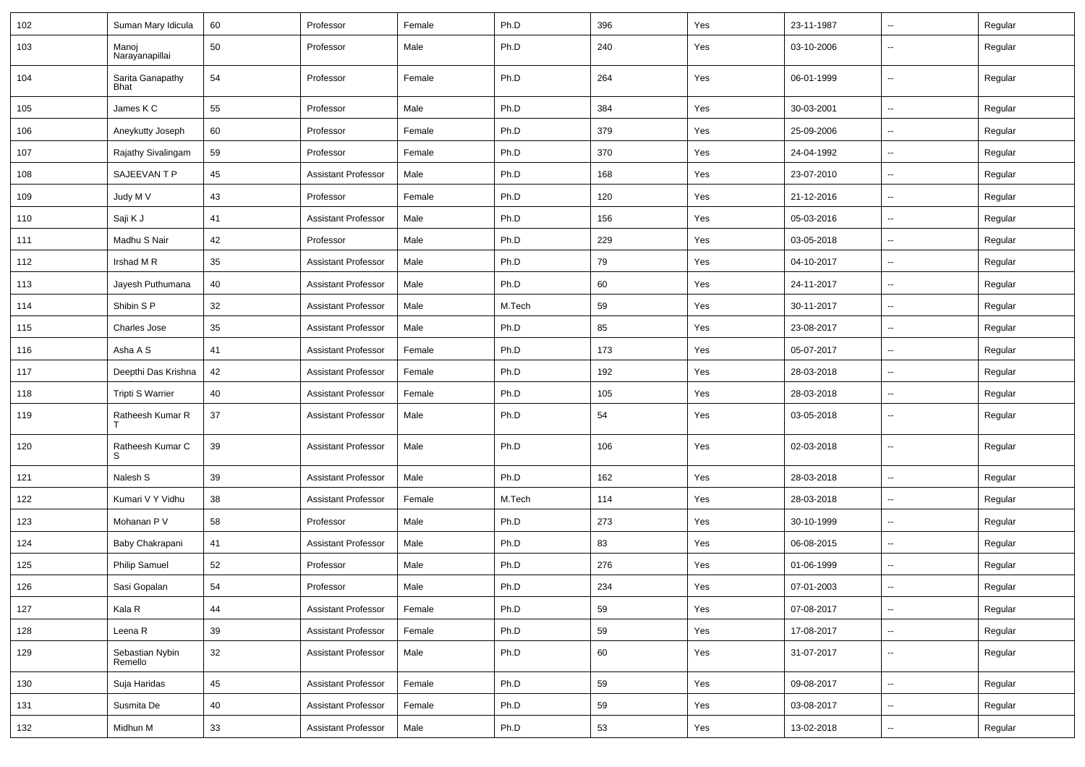| 102 | Suman Mary Idicula         | 60 | Professor                  | Female | Ph.D   | 396 | Yes | 23-11-1987 | $\overline{\phantom{a}}$ | Regular |
|-----|----------------------------|----|----------------------------|--------|--------|-----|-----|------------|--------------------------|---------|
| 103 | Manoj<br>Narayanapillai    | 50 | Professor                  | Male   | Ph.D   | 240 | Yes | 03-10-2006 | --                       | Regular |
| 104 | Sarita Ganapathy<br>Bhat   | 54 | Professor                  | Female | Ph.D   | 264 | Yes | 06-01-1999 | Ξ.                       | Regular |
| 105 | James K C                  | 55 | Professor                  | Male   | Ph.D   | 384 | Yes | 30-03-2001 | $\overline{\phantom{a}}$ | Regular |
| 106 | Aneykutty Joseph           | 60 | Professor                  | Female | Ph.D   | 379 | Yes | 25-09-2006 | $\overline{\phantom{a}}$ | Regular |
| 107 | Rajathy Sivalingam         | 59 | Professor                  | Female | Ph.D   | 370 | Yes | 24-04-1992 | --                       | Regular |
| 108 | SAJEEVAN T P               | 45 | <b>Assistant Professor</b> | Male   | Ph.D   | 168 | Yes | 23-07-2010 | Ξ.                       | Regular |
| 109 | Judy M V                   | 43 | Professor                  | Female | Ph.D   | 120 | Yes | 21-12-2016 | $\sim$                   | Regular |
| 110 | Saji K J                   | 41 | <b>Assistant Professor</b> | Male   | Ph.D   | 156 | Yes | 05-03-2016 | $\sim$                   | Regular |
| 111 | Madhu S Nair               | 42 | Professor                  | Male   | Ph.D   | 229 | Yes | 03-05-2018 | $\overline{\phantom{a}}$ | Regular |
| 112 | Irshad M R                 | 35 | <b>Assistant Professor</b> | Male   | Ph.D   | 79  | Yes | 04-10-2017 | $\overline{\phantom{a}}$ | Regular |
| 113 | Jayesh Puthumana           | 40 | <b>Assistant Professor</b> | Male   | Ph.D   | 60  | Yes | 24-11-2017 | --                       | Regular |
| 114 | Shibin S P                 | 32 | <b>Assistant Professor</b> | Male   | M.Tech | 59  | Yes | 30-11-2017 | -−                       | Regular |
| 115 | Charles Jose               | 35 | <b>Assistant Professor</b> | Male   | Ph.D   | 85  | Yes | 23-08-2017 | $\sim$                   | Regular |
| 116 | Asha A S                   | 41 | <b>Assistant Professor</b> | Female | Ph.D   | 173 | Yes | 05-07-2017 | $\sim$                   | Regular |
| 117 | Deepthi Das Krishna        | 42 | <b>Assistant Professor</b> | Female | Ph.D   | 192 | Yes | 28-03-2018 | Ξ.                       | Regular |
| 118 | Tripti S Warrier           | 40 | <b>Assistant Professor</b> | Female | Ph.D   | 105 | Yes | 28-03-2018 | $\overline{\phantom{a}}$ | Regular |
| 119 | Ratheesh Kumar R           | 37 | <b>Assistant Professor</b> | Male   | Ph.D   | 54  | Yes | 03-05-2018 | --                       | Regular |
| 120 | Ratheesh Kumar C<br>S      | 39 | <b>Assistant Professor</b> | Male   | Ph.D   | 106 | Yes | 02-03-2018 | ⊷.                       | Regular |
| 121 | Nalesh S                   | 39 | <b>Assistant Professor</b> | Male   | Ph.D   | 162 | Yes | 28-03-2018 | $\overline{\phantom{a}}$ | Regular |
| 122 | Kumari V Y Vidhu           | 38 | <b>Assistant Professor</b> | Female | M.Tech | 114 | Yes | 28-03-2018 | Ξ.                       | Regular |
| 123 | Mohanan P V                | 58 | Professor                  | Male   | Ph.D   | 273 | Yes | 30-10-1999 | $\sim$                   | Regular |
| 124 | Baby Chakrapani            | 41 | <b>Assistant Professor</b> | Male   | Ph.D   | 83  | Yes | 06-08-2015 | $\sim$                   | Regular |
| 125 | <b>Philip Samuel</b>       | 52 | Professor                  | Male   | Ph.D   | 276 | Yes | 01-06-1999 | -−                       | Regular |
| 126 | Sasi Gopalan               | 54 | Professor                  | Male   | Ph.D   | 234 | Yes | 07-01-2003 | $\overline{\phantom{a}}$ | Regular |
| 127 | Kala R                     | 44 | <b>Assistant Professor</b> | Female | Ph.D   | 59  | Yes | 07-08-2017 | $\sim$                   | Regular |
| 128 | Leena R                    | 39 | <b>Assistant Professor</b> | Female | Ph.D   | 59  | Yes | 17-08-2017 | н.                       | Regular |
| 129 | Sebastian Nybin<br>Remello | 32 | <b>Assistant Professor</b> | Male   | Ph.D   | 60  | Yes | 31-07-2017 | н.                       | Regular |
| 130 | Suja Haridas               | 45 | <b>Assistant Professor</b> | Female | Ph.D   | 59  | Yes | 09-08-2017 | н.                       | Regular |
| 131 | Susmita De                 | 40 | <b>Assistant Professor</b> | Female | Ph.D   | 59  | Yes | 03-08-2017 | $\sim$                   | Regular |
| 132 | Midhun M                   | 33 | <b>Assistant Professor</b> | Male   | Ph.D   | 53  | Yes | 13-02-2018 | $\sim$                   | Regular |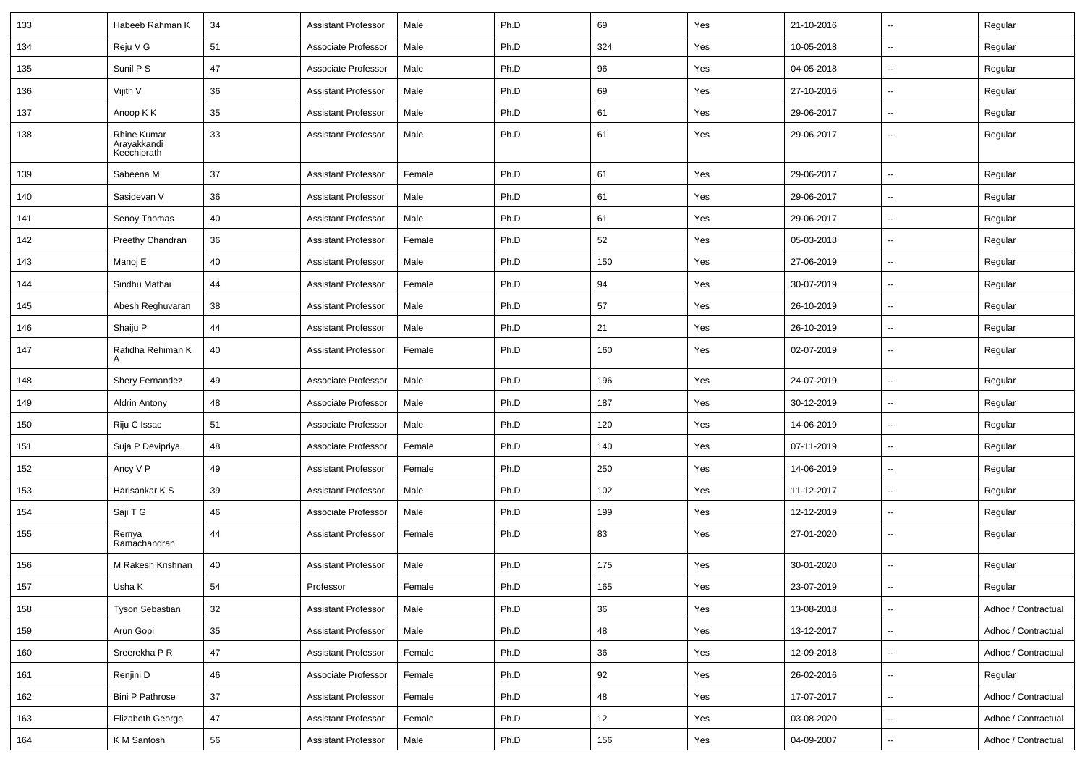| 133 | Habeeb Rahman K                           | 34     | <b>Assistant Professor</b> | Male   | Ph.D | 69  | Yes | 21-10-2016 | ⊷.                       | Regular             |
|-----|-------------------------------------------|--------|----------------------------|--------|------|-----|-----|------------|--------------------------|---------------------|
| 134 | Reju V G                                  | 51     | Associate Professor        | Male   | Ph.D | 324 | Yes | 10-05-2018 | ⊷.                       | Regular             |
| 135 | Sunil P S                                 | 47     | Associate Professor        | Male   | Ph.D | 96  | Yes | 04-05-2018 | $\mathbf{u}$             | Regular             |
| 136 | Vijith V                                  | 36     | <b>Assistant Professor</b> | Male   | Ph.D | 69  | Yes | 27-10-2016 | --                       | Regular             |
| 137 | Anoop K K                                 | 35     | <b>Assistant Professor</b> | Male   | Ph.D | 61  | Yes | 29-06-2017 | Ξ.                       | Regular             |
| 138 | Rhine Kumar<br>Arayakkandi<br>Keechiprath | 33     | <b>Assistant Professor</b> | Male   | Ph.D | 61  | Yes | 29-06-2017 | $\sim$                   | Regular             |
| 139 | Sabeena M                                 | 37     | <b>Assistant Professor</b> | Female | Ph.D | 61  | Yes | 29-06-2017 | н.                       | Regular             |
| 140 | Sasidevan V                               | 36     | <b>Assistant Professor</b> | Male   | Ph.D | 61  | Yes | 29-06-2017 | $\mathbf{u}$             | Regular             |
| 141 | Senoy Thomas                              | 40     | <b>Assistant Professor</b> | Male   | Ph.D | 61  | Yes | 29-06-2017 | ⊷.                       | Regular             |
| 142 | Preethy Chandran                          | 36     | Assistant Professor        | Female | Ph.D | 52  | Yes | 05-03-2018 | ⊷.                       | Regular             |
| 143 | Manoj E                                   | 40     | <b>Assistant Professor</b> | Male   | Ph.D | 150 | Yes | 27-06-2019 | ⊷.                       | Regular             |
| 144 | Sindhu Mathai                             | 44     | <b>Assistant Professor</b> | Female | Ph.D | 94  | Yes | 30-07-2019 | -−                       | Regular             |
| 145 | Abesh Reghuvaran                          | 38     | <b>Assistant Professor</b> | Male   | Ph.D | 57  | Yes | 26-10-2019 | --                       | Regular             |
| 146 | Shaiju P                                  | 44     | <b>Assistant Professor</b> | Male   | Ph.D | 21  | Yes | 26-10-2019 | ÷.                       | Regular             |
| 147 | Rafidha Rehiman K<br>А                    | 40     | <b>Assistant Professor</b> | Female | Ph.D | 160 | Yes | 02-07-2019 | $\sim$                   | Regular             |
| 148 | <b>Shery Fernandez</b>                    | 49     | Associate Professor        | Male   | Ph.D | 196 | Yes | 24-07-2019 | $\overline{\phantom{a}}$ | Regular             |
| 149 | Aldrin Antony                             | 48     | Associate Professor        | Male   | Ph.D | 187 | Yes | 30-12-2019 | ⊷.                       | Regular             |
| 150 | Riju C Issac                              | 51     | Associate Professor        | Male   | Ph.D | 120 | Yes | 14-06-2019 | --                       | Regular             |
| 151 | Suja P Devipriya                          | 48     | Associate Professor        | Female | Ph.D | 140 | Yes | 07-11-2019 | -−                       | Regular             |
| 152 | Ancy V P                                  | 49     | <b>Assistant Professor</b> | Female | Ph.D | 250 | Yes | 14-06-2019 | --                       | Regular             |
| 153 | Harisankar K S                            | 39     | <b>Assistant Professor</b> | Male   | Ph.D | 102 | Yes | 11-12-2017 | -−                       | Regular             |
| 154 | Saji T G                                  | 46     | Associate Professor        | Male   | Ph.D | 199 | Yes | 12-12-2019 | $\sim$                   | Regular             |
| 155 | Remya<br>Ramachandran                     | 44     | Assistant Professor        | Female | Ph.D | 83  | Yes | 27-01-2020 | ⊷.                       | Regular             |
| 156 | M Rakesh Krishnan                         | 40     | <b>Assistant Professor</b> | Male   | Ph.D | 175 | Yes | 30-01-2020 | н.                       | Regular             |
| 157 | Usha K                                    | 54     | Professor                  | Female | Ph.D | 165 | Yes | 23-07-2019 | $\overline{\phantom{a}}$ | Regular             |
| 158 | <b>Tyson Sebastian</b>                    | 32     | Assistant Professor        | Male   | Ph.D | 36  | Yes | 13-08-2018 | ⊶.                       | Adhoc / Contractual |
| 159 | Arun Gopi                                 | $35\,$ | <b>Assistant Professor</b> | Male   | Ph.D | 48  | Yes | 13-12-2017 | н.                       | Adhoc / Contractual |
| 160 | Sreerekha P R                             | 47     | <b>Assistant Professor</b> | Female | Ph.D | 36  | Yes | 12-09-2018 | $\sim$                   | Adhoc / Contractual |
| 161 | Renjini D                                 | 46     | Associate Professor        | Female | Ph.D | 92  | Yes | 26-02-2016 | Щ,                       | Regular             |
| 162 | <b>Bini P Pathrose</b>                    | 37     | <b>Assistant Professor</b> | Female | Ph.D | 48  | Yes | 17-07-2017 | $\overline{\phantom{a}}$ | Adhoc / Contractual |
| 163 | Elizabeth George                          | 47     | <b>Assistant Professor</b> | Female | Ph.D | 12  | Yes | 03-08-2020 | -−                       | Adhoc / Contractual |
| 164 | K M Santosh                               | 56     | <b>Assistant Professor</b> | Male   | Ph.D | 156 | Yes | 04-09-2007 | $\overline{\phantom{a}}$ | Adhoc / Contractual |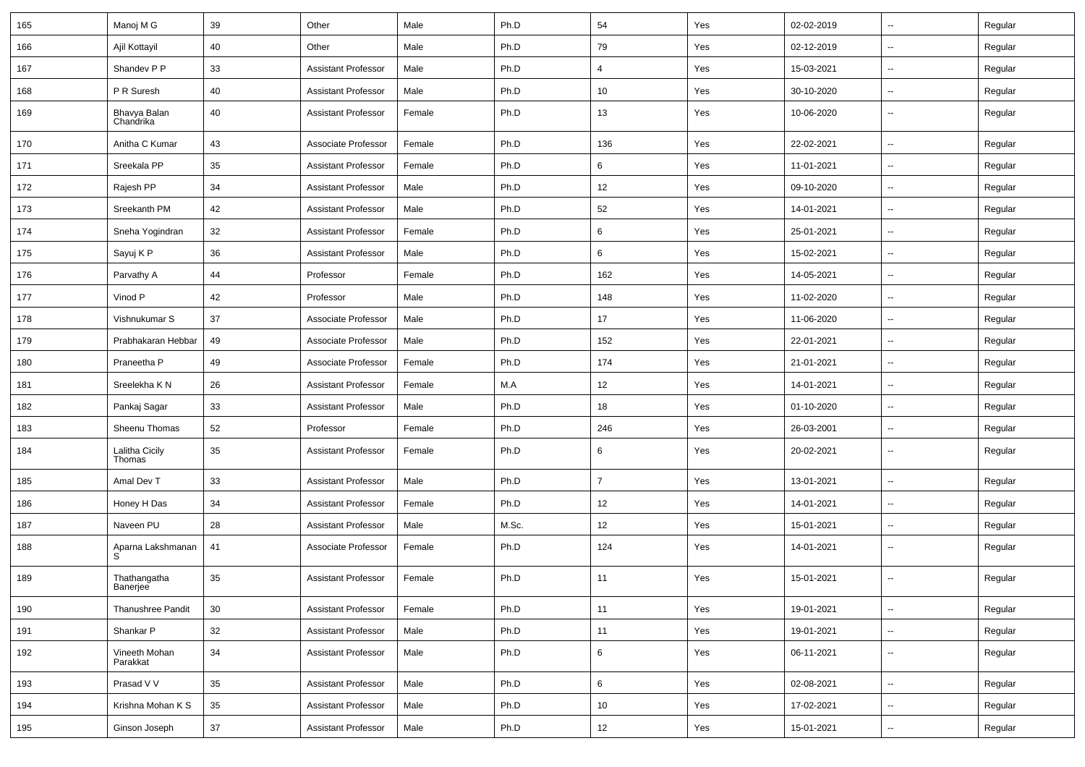| 165 | Manoj M G                 | 39 | Other                      | Male   | Ph.D  | 54             | Yes | 02-02-2019 | $\overline{\phantom{a}}$ | Regular |
|-----|---------------------------|----|----------------------------|--------|-------|----------------|-----|------------|--------------------------|---------|
| 166 | Ajil Kottayil             | 40 | Other                      | Male   | Ph.D  | 79             | Yes | 02-12-2019 | -−                       | Regular |
| 167 | Shandev P P               | 33 | <b>Assistant Professor</b> | Male   | Ph.D  | 4              | Yes | 15-03-2021 | $\overline{\phantom{a}}$ | Regular |
| 168 | P R Suresh                | 40 | <b>Assistant Professor</b> | Male   | Ph.D  | 10             | Yes | 30-10-2020 | $\overline{\phantom{a}}$ | Regular |
| 169 | Bhavya Balan<br>Chandrika | 40 | <b>Assistant Professor</b> | Female | Ph.D  | 13             | Yes | 10-06-2020 | --                       | Regular |
| 170 | Anitha C Kumar            | 43 | Associate Professor        | Female | Ph.D  | 136            | Yes | 22-02-2021 | $\overline{\phantom{a}}$ | Regular |
| 171 | Sreekala PP               | 35 | <b>Assistant Professor</b> | Female | Ph.D  | 6              | Yes | 11-01-2021 | $\overline{\phantom{a}}$ | Regular |
| 172 | Rajesh PP                 | 34 | <b>Assistant Professor</b> | Male   | Ph.D  | 12             | Yes | 09-10-2020 | $\overline{\phantom{a}}$ | Regular |
| 173 | Sreekanth PM              | 42 | <b>Assistant Professor</b> | Male   | Ph.D  | 52             | Yes | 14-01-2021 | $\overline{\phantom{a}}$ | Regular |
| 174 | Sneha Yogindran           | 32 | <b>Assistant Professor</b> | Female | Ph.D  | 6              | Yes | 25-01-2021 | $\overline{\phantom{a}}$ | Regular |
| 175 | Sayuj K P                 | 36 | <b>Assistant Professor</b> | Male   | Ph.D  | 6              | Yes | 15-02-2021 | $\overline{\phantom{a}}$ | Regular |
| 176 | Parvathy A                | 44 | Professor                  | Female | Ph.D  | 162            | Yes | 14-05-2021 | -−                       | Regular |
| 177 | Vinod P                   | 42 | Professor                  | Male   | Ph.D  | 148            | Yes | 11-02-2020 | $\sim$                   | Regular |
| 178 | Vishnukumar S             | 37 | Associate Professor        | Male   | Ph.D  | 17             | Yes | 11-06-2020 | $\overline{\phantom{a}}$ | Regular |
| 179 | Prabhakaran Hebbar        | 49 | Associate Professor        | Male   | Ph.D  | 152            | Yes | 22-01-2021 | $\overline{\phantom{a}}$ | Regular |
| 180 | Praneetha P               | 49 | Associate Professor        | Female | Ph.D  | 174            | Yes | 21-01-2021 | $\overline{\phantom{a}}$ | Regular |
| 181 | Sreelekha K N             | 26 | <b>Assistant Professor</b> | Female | M.A   | 12             | Yes | 14-01-2021 | $\overline{a}$           | Regular |
| 182 | Pankaj Sagar              | 33 | <b>Assistant Professor</b> | Male   | Ph.D  | 18             | Yes | 01-10-2020 | -−                       | Regular |
| 183 | Sheenu Thomas             | 52 | Professor                  | Female | Ph.D  | 246            | Yes | 26-03-2001 | Ξ.                       | Regular |
| 184 | Lalitha Cicily<br>Thomas  | 35 | <b>Assistant Professor</b> | Female | Ph.D  | 6              | Yes | 20-02-2021 | н.                       | Regular |
| 185 | Amal Dev T                | 33 | <b>Assistant Professor</b> | Male   | Ph.D  | $\overline{7}$ | Yes | 13-01-2021 | Ξ.                       | Regular |
| 186 | Honey H Das               | 34 | <b>Assistant Professor</b> | Female | Ph.D  | 12             | Yes | 14-01-2021 | н.                       | Regular |
| 187 | Naveen PU                 | 28 | <b>Assistant Professor</b> | Male   | M.Sc. | 12             | Yes | 15-01-2021 | $\overline{\phantom{a}}$ | Regular |
| 188 | Aparna Lakshmanan<br>S    | 41 | Associate Professor        | Female | Ph.D  | 124            | Yes | 14-01-2021 | --                       | Regular |
| 189 | Thathangatha<br>Banerjee  | 35 | <b>Assistant Professor</b> | Female | Ph.D  | 11             | Yes | 15-01-2021 | --                       | Regular |
| 190 | Thanushree Pandit         | 30 | <b>Assistant Professor</b> | Female | Ph.D  | 11             | Yes | 19-01-2021 | Ξ.                       | Regular |
| 191 | Shankar P                 | 32 | <b>Assistant Professor</b> | Male   | Ph.D  | 11             | Yes | 19-01-2021 | Ξ.                       | Regular |
| 192 | Vineeth Mohan<br>Parakkat | 34 | <b>Assistant Professor</b> | Male   | Ph.D  | 6              | Yes | 06-11-2021 | н.                       | Regular |
| 193 | Prasad V V                | 35 | <b>Assistant Professor</b> | Male   | Ph.D  | 6              | Yes | 02-08-2021 | $\sim$                   | Regular |
| 194 | Krishna Mohan K S         | 35 | <b>Assistant Professor</b> | Male   | Ph.D  | 10             | Yes | 17-02-2021 | $\sim$                   | Regular |
| 195 | Ginson Joseph             | 37 | <b>Assistant Professor</b> | Male   | Ph.D  | 12             | Yes | 15-01-2021 | −−                       | Regular |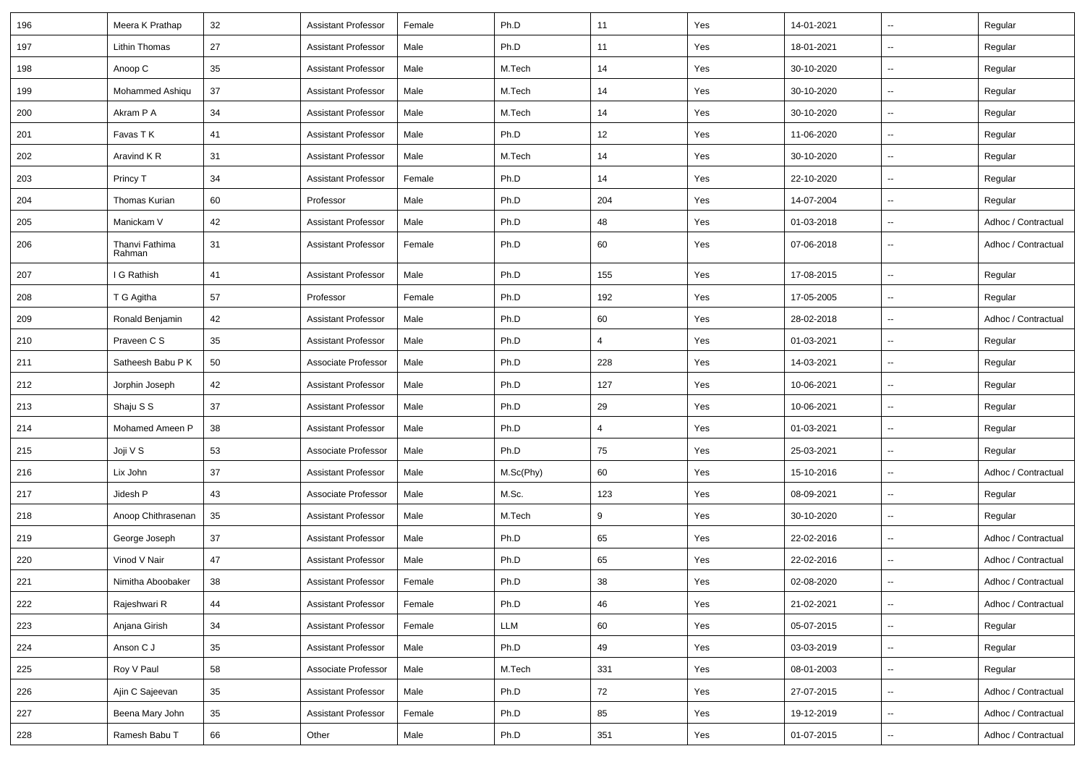| 196 | Meera K Prathap          | 32 | <b>Assistant Professor</b> | Female | Ph.D      | 11  | Yes | 14-01-2021 | $\overline{\phantom{a}}$ | Regular             |
|-----|--------------------------|----|----------------------------|--------|-----------|-----|-----|------------|--------------------------|---------------------|
| 197 | Lithin Thomas            | 27 | <b>Assistant Professor</b> | Male   | Ph.D      | 11  | Yes | 18-01-2021 | $\overline{\phantom{a}}$ | Regular             |
| 198 | Anoop C                  | 35 | <b>Assistant Professor</b> | Male   | M.Tech    | 14  | Yes | 30-10-2020 | $\overline{\phantom{a}}$ | Regular             |
| 199 | Mohammed Ashigu          | 37 | <b>Assistant Professor</b> | Male   | M.Tech    | 14  | Yes | 30-10-2020 | $\overline{\phantom{a}}$ | Regular             |
| 200 | Akram P A                | 34 | <b>Assistant Professor</b> | Male   | M.Tech    | 14  | Yes | 30-10-2020 | --                       | Regular             |
| 201 | Favas TK                 | 41 | <b>Assistant Professor</b> | Male   | Ph.D      | 12  | Yes | 11-06-2020 | $\overline{\phantom{a}}$ | Regular             |
| 202 | Aravind KR               | 31 | <b>Assistant Professor</b> | Male   | M.Tech    | 14  | Yes | 30-10-2020 | $\overline{\phantom{a}}$ | Regular             |
| 203 | Princy T                 | 34 | <b>Assistant Professor</b> | Female | Ph.D      | 14  | Yes | 22-10-2020 | $\overline{\phantom{a}}$ | Regular             |
| 204 | <b>Thomas Kurian</b>     | 60 | Professor                  | Male   | Ph.D      | 204 | Yes | 14-07-2004 | $\overline{\phantom{a}}$ | Regular             |
| 205 | Manickam V               | 42 | <b>Assistant Professor</b> | Male   | Ph.D      | 48  | Yes | 01-03-2018 | $\overline{\phantom{a}}$ | Adhoc / Contractual |
| 206 | Thanvi Fathima<br>Rahman | 31 | <b>Assistant Professor</b> | Female | Ph.D      | 60  | Yes | 07-06-2018 | ۰.                       | Adhoc / Contractual |
| 207 | I G Rathish              | 41 | <b>Assistant Professor</b> | Male   | Ph.D      | 155 | Yes | 17-08-2015 | --                       | Regular             |
| 208 | T G Agitha               | 57 | Professor                  | Female | Ph.D      | 192 | Yes | 17-05-2005 | $\overline{\phantom{a}}$ | Regular             |
| 209 | Ronald Benjamin          | 42 | <b>Assistant Professor</b> | Male   | Ph.D      | 60  | Yes | 28-02-2018 | $\overline{\phantom{a}}$ | Adhoc / Contractual |
| 210 | Praveen C S              | 35 | <b>Assistant Professor</b> | Male   | Ph.D      | 4   | Yes | 01-03-2021 | $\overline{\phantom{a}}$ | Regular             |
| 211 | Satheesh Babu P K        | 50 | Associate Professor        | Male   | Ph.D      | 228 | Yes | 14-03-2021 | --                       | Regular             |
| 212 | Jorphin Joseph           | 42 | <b>Assistant Professor</b> | Male   | Ph.D      | 127 | Yes | 10-06-2021 | $\overline{\phantom{a}}$ | Regular             |
| 213 | Shaju S S                | 37 | <b>Assistant Professor</b> | Male   | Ph.D      | 29  | Yes | 10-06-2021 | $\overline{\phantom{a}}$ | Regular             |
| 214 | Mohamed Ameen P          | 38 | <b>Assistant Professor</b> | Male   | Ph.D      | 4   | Yes | 01-03-2021 | --                       | Regular             |
| 215 | Joji V S                 | 53 | Associate Professor        | Male   | Ph.D      | 75  | Yes | 25-03-2021 | $\overline{\phantom{a}}$ | Regular             |
| 216 | Lix John                 | 37 | <b>Assistant Professor</b> | Male   | M.Sc(Phy) | 60  | Yes | 15-10-2016 | --                       | Adhoc / Contractual |
| 217 | Jidesh P                 | 43 | Associate Professor        | Male   | M.Sc.     | 123 | Yes | 08-09-2021 | --                       | Regular             |
| 218 | Anoop Chithrasenan       | 35 | <b>Assistant Professor</b> | Male   | M.Tech    | 9   | Yes | 30-10-2020 | --                       | Regular             |
| 219 | George Joseph            | 37 | <b>Assistant Professor</b> | Male   | Ph.D      | 65  | Yes | 22-02-2016 | $\overline{\phantom{a}}$ | Adhoc / Contractual |
| 220 | Vinod V Nair             | 47 | <b>Assistant Professor</b> | Male   | Ph.D      | 65  | Yes | 22-02-2016 | u.                       | Adhoc / Contractual |
| 221 | Nimitha Aboobaker        | 38 | <b>Assistant Professor</b> | Female | Ph.D      | 38  | Yes | 02-08-2020 | u.                       | Adhoc / Contractual |
| 222 | Rajeshwari R             | 44 | <b>Assistant Professor</b> | Female | Ph.D      | 46  | Yes | 21-02-2021 | $\overline{\phantom{a}}$ | Adhoc / Contractual |
| 223 | Anjana Girish            | 34 | <b>Assistant Professor</b> | Female | LLM       | 60  | Yes | 05-07-2015 | Ξ.                       | Regular             |
| 224 | Anson C J                | 35 | <b>Assistant Professor</b> | Male   | Ph.D      | 49  | Yes | 03-03-2019 | Ξ.                       | Regular             |
| 225 | Roy V Paul               | 58 | Associate Professor        | Male   | M.Tech    | 331 | Yes | 08-01-2003 | --                       | Regular             |
| 226 | Ajin C Sajeevan          | 35 | <b>Assistant Professor</b> | Male   | Ph.D      | 72  | Yes | 27-07-2015 | $\overline{\phantom{a}}$ | Adhoc / Contractual |
| 227 | Beena Mary John          | 35 | <b>Assistant Professor</b> | Female | Ph.D      | 85  | Yes | 19-12-2019 | Щ,                       | Adhoc / Contractual |
| 228 | Ramesh Babu T            | 66 | Other                      | Male   | Ph.D      | 351 | Yes | 01-07-2015 | ۰.                       | Adhoc / Contractual |